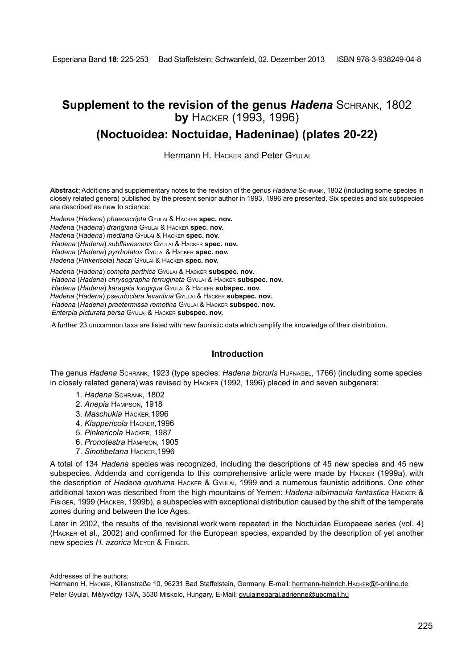# **Supplement to the revision of the genus** *Hadena* Schrank, 1802 **by** Hacker (1993, 1996)

# **(Noctuoidea: Noctuidae, Hadeninae) (plates 20-22)**

Hermann H. Hacker and Peter Gyulai

**Abstract:** Additions and supplementary notes to the revision of the genus *Hadena* Schrank, 1802 (including some species in closely related genera) published by the present senior author in 1993, 1996 are presented. Six species and six subspecies are described as new to science:

*Hadena* (*Hadena*) *phaeoscripta* Gyulai & Hacker **spec. nov.** *Hadena* (*Hadena*) *drangiana* Gyulai & Hacker **spec. nov.**

*Hadena* (*Hadena*) *mediana* Gyulai & Hacker **spec. nov.**

*Hadena* (*Hadena*) *subflavescens* Gyulai & Hacker **spec. nov.**

*Hadena* (*Hadena*) *pyrrhotatos* Gyulai & Hacker **spec. nov.**

*Hadena* (*Pinkericola*) *haczi* Gyulai & Hacker **spec. nov.**

*Hadena* (*Hadena*) *compta parthica* Gyulai & Hacker **subspec. nov.**

*Hadena* (*Hadena*) *chrysographa ferruginata* Gyulai & Hacker **subspec. nov.**

*Hadena* (*Hadena*) *karagaia longiqua* Gyulai & Hacker **subspec. nov.**

*Hadena* (*Hadena*) *pseudoclara levantina* Gyulai & Hacker **subspec. nov.**

*Hadena* (*Hadena*) *praetermissa remotina* Gyulai & Hacker **subspec. nov.**

*Enterpia picturata persa* Gyulai & Hacker **subspec. nov.**

A further 23 uncommon taxa are listed with new faunistic data which amplify the knowledge of their distribution.

## **Introduction**

The genus *Hadena* Schrank, 1923 (type species: *Hadena bicruris* Hufnagel, 1766) (including some species in closely related genera) was revised by Hacker (1992, 1996) placed in and seven subgenera:

- 1. *Hadena* Schrank, 1802
- 2. *Anepia* Hampson, 1918
- 3. *Maschukia* Hacker,1996
- 4. *Klappericola* Hacker,1996
- 5. *Pinkericola* Hacker, 1987
- 6. *Pronotestra* Hampson, 1905
- 7. *Sinotibetana* Hacker,1996

A total of 134 *Hadena* species was recognized, including the descriptions of 45 new species and 45 new subspecies. Addenda and corrigenda to this comprehensive article were made by Hacker (1999a), with the description of *Hadena quotuma* Hacker & Gyulai, 1999 and a numerous faunistic additions. One other additional taxon was described from the high mountains of Yemen: *Hadena albimacula fantastica* Hacker & Fibiger, 1999 (Hacker, 1999b), a subspecies with exceptional distribution caused by the shift of the temperate zones during and between the Ice Ages.

Later in 2002, the results of the revisional work were repeated in the Noctuidae Europaeae series (vol. 4) (Hacker et al., 2002) and confirmed for the European species, expanded by the description of yet another new species *H. azorica* Meyer & Fibiger.

Addresses of the authors:

Hermann H. HACKER, Kilianstraße 10, 96231 Bad Staffelstein, Germany. E-mail: hermann-heinrich.HACKER@t-online.de Peter Gyulai, Mélyvölgy 13/A, 3530 Miskolc, Hungary, E-Mail: gyulainegarai.adrienne@upcmail.hu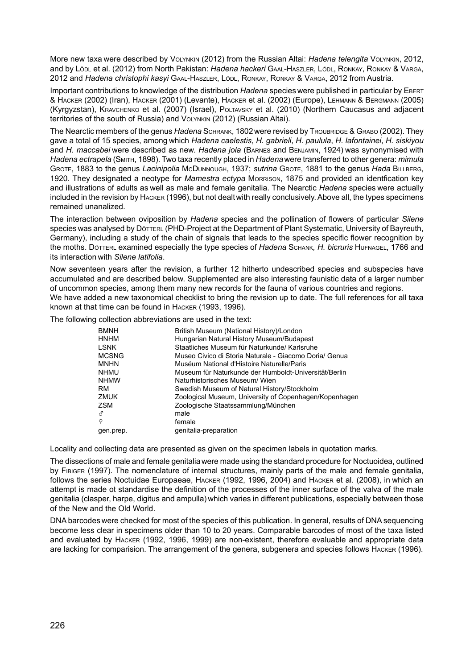More new taxa were described by Volynkin (2012) from the Russian Altai: *Hadena telengita* Volynkin, 2012, and by Lödl et al. (2012) from North Pakistan: *Hadena hackeri* Gaal-Haszler, Lödl, Ronkay, Ronkay & Varga, 2012 and *Hadena christophi kasyi* Gaal-Haszler, Lödl, Ronkay, Ronkay & Varga, 2012 from Austria.

Important contributions to knowledge of the distribution *Hadena* species were published in particular by Ebert & Hacker (2002) (Iran), Hacker (2001) (Levante), Hacker et al. (2002) (Europe), Lehmann & Bergmann (2005) (Kyrgyzstan), Kravchenko et al. (2007) (Israel), Poltavsky et al. (2010) (Northern Caucasus and adjacent territories of the south of Russia) and Volynkin (2012) (Russian Altai).

The Nearctic members of the genus *Hadena* Schrank, 1802were revised by Troubridge & Grabo (2002). They gave a total of 15 species, among which *Hadena caelestis*, *H. gabrieli*, *H. paulula*, *H. lafontainei*, *H. siskiyou* and *H. maccabei* were described as new. *Hadena jola* (Barnes and Benjamin, 1924) was synonymised with *Hadena ectrapela* (Smith, 1898). Two taxa recently placed in *Hadena* were transferred to other genera: *mimula*  Grote, 1883 to the genus *Lacinipolia* McDunnough, 1937; *sutrina* Grote, 1881 to the genus *Hada* Billberg, 1920. They designated a neotype for *Mamestra ectypa* Morrison, 1875 and provided an identfication key and illustrations of adults as well as male and female genitalia. The Nearctic *Hadena* species were actually included in the revision by Hacker (1996), but not dealtwith really conclusively. Above all, the types specimens remained unanalized.

The interaction between oviposition by *Hadena* species and the pollination of flowers of particular *Silene* species was analysed by DöTTERL (PHD-Project at the Department of Plant Systematic, University of Bayreuth, Germany), including a study of the chain of signals that leads to the species specific flower recognition by the moths. Dötterl examined especially the type species of *Hadena* Schank*, H. bicruris* Hufnagel, 1766 and its interaction with *Silene latifolia*.

Now seventeen years after the revision, a further 12 hitherto undescribed species and subspecies have accumulated and are described below. Supplemented are also interesting faunistic data of a larger number of uncommon species, among them many new records for the fauna of various countries and regions. We have added a new taxonomical checklist to bring the revision up to date. The full references for all taxa known at that time can be found in Hacker (1993, 1996).

The following collection abbreviations are used in the text:

| <b>BMNH</b>  | British Museum (National History)/London               |
|--------------|--------------------------------------------------------|
| <b>HNHM</b>  | Hungarian Natural History Museum/Budapest              |
| LSNK         | Staatliches Museum für Naturkunde/ Karlsruhe           |
| <b>MCSNG</b> | Museo Civico di Storia Naturale - Giacomo Doria/ Genua |
| <b>MNHN</b>  | Muséum National d'Histoire Naturelle/Paris             |
| <b>NHMU</b>  | Museum für Naturkunde der Humboldt-Universität/Berlin  |
| <b>NHMW</b>  | Naturhistorisches Museum/ Wien                         |
| RM           | Swedish Museum of Natural History/Stockholm            |
| ZMUK         | Zoological Museum, University of Copenhagen/Kopenhagen |
| <b>ZSM</b>   | Zoologische Staatssammlung/München                     |
| ೆ            | male                                                   |
| ¥            | female                                                 |
| gen.prep.    | genitalia-preparation                                  |

Locality and collecting data are presented as given on the specimen labels in quotation marks.

The dissections of male and female genitaliawere made using the standard procedure for Noctuoidea, outlined by Fibiger (1997). The nomenclature of internal structures, mainly parts of the male and female genitalia, follows the series Noctuidae Europaeae, Hacker (1992, 1996, 2004) and Hacker et al. (2008), in which an attempt is made ot standardise the definition of the processes of the inner surface of the valva of the male genitalia (clasper, harpe, digitus and ampulla) which varies in different publications, especially between those of the New and the Old World.

DNA barcodes were checked for most of the species of this publication. In general, results of DNA sequencing become less clear in specimens older than 10 to 20 years. Comparable barcodes of most of the taxa listed and evaluated by Hacker (1992, 1996, 1999) are non-existent, therefore evaluable and appropriate data are lacking for comparision. The arrangement of the genera, subgenera and species follows Hacker (1996).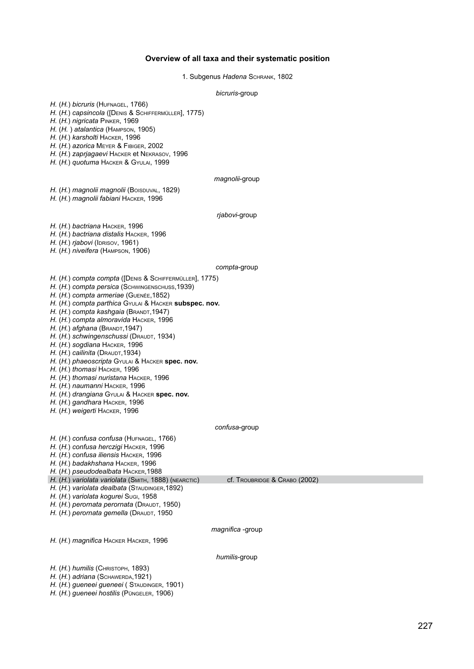#### **Overview of all taxa and their systematic position**

1. Subgenus *Hadena* Schrank, 1802

*bicruris*-group

*H.* (*H.*) *bicruris* (Hufnagel, 1766) *H.* (*H.*) *capsincola* ([Denis & Schiffermüller], 1775) *H.* (*H.*) *nigricata* Pinker, 1969 *H.* (*H.* ) *atalantica* (Hampson, 1905) *H.* (*H.*) *karsholti* Hacker, 1996 *H.* (*H.*) *azorica* Meyer & Fibiger, 2002 *H.* (*H.*) *zaprjagaevi* Hacker et Nekrasov, 1996 *H.* (*H.*) *quotuma* Hacker & Gyulai, 1999 *magnolii*-group *H.* (*H.*) *magnolii magnolii* (Boispuval, 1829) *H.* (*H.*) *magnolii fabiani* Hacker, 1996 *rjabovi*-group *H.* (*H.*) *bactriana* Hacker, 1996 *H.* (*H.*) *bactriana distalis* Hacker, 1996 *H.* (*H.*) *rjabovi* (IDRISOV, 1961) *H.* (*H.*) *niveifera* (Hampson, 1906) *compta*-group *H.* (*H.*) *compta compta* ([Denis & Schiffermüller], 1775) *H.* (*H.*) *compta persica* (Schwingenschuss,1939) *H.* (*H.*) *compta armeriae* (Guenée,1852) *H.* (*H.*) *compta parthica* Gyulai & Hacker **subspec. nov.** *H.* (*H.*) *compta kashgaia* (Brandt,1947) *H.* (*H.*) *compta almoravida* Hacker, 1996 *H.* (*H.*) *afghana* (Brandt,1947) *H.* (*H.*) *schwingenschussi* (DRAUDT, 1934) *H.* (*H.*) *sogdiana* Hacker, 1996 *H.*  $(H)$  *cailinita* (DRAUDT, 1934) *H.* (*H.*) *phaeoscripta* Gyulai & Hacker **spec. nov.** *H.* (*H.*) *thomasi* Hacker, 1996 *H.* (*H.*) *thomasi nuristana* Hacker, 1996 *H.* (*H.*) *naumanni* Hacker, 1996 *H.* (*H.*) *drangiana* Gyulai & Hacker **spec. nov.** *H.* (*H.*) *gandhara* Hacker, 1996 *H.* (*H.*) *weigerti* Hacker, 1996 *confusa*-group *H.* (*H.*) *confusa confusa* (Hufnagel, 1766) *H.* (*H.*) *confusa herczigi* Hacker, 1996 *H.* (*H.*) *confusa iliensis* Hacker, 1996 *H.* (*H.*) *badakhshana* Hacker, 1996 *H.* (*H.*) *pseudodealbata* Hacker,1988 *H.*  $(H.$ ) *variolata variolata* (SMITH, 1888) (NEARCTIC) cf. TROUBRIDGE & CRABO (2002) *H.* (*H.*) *variolata dealbata* (Staudinger,1892) *H.* (*H.*) *variolata kogurei* Sugi, 1958 *H.* (*H.*) *perornata perornata* (Draudt, 1950) *H.* (*H.*) *perornata gemella* (Draudt, 1950 *magnifica* -group *H.* (*H.*) *magnifica* Hacker Hacker, 1996 *humilis*-group *H.* (*H.*) *humilis* (Снвизторн, 1893) *H.* (*H.*) *adriana* (Schawerda,1921) *H.* (*H.*) *gueneei gueneei* ( Staudinger, 1901) *H.* (*H.*) *gueneei hostilis* (Püngeler, 1906)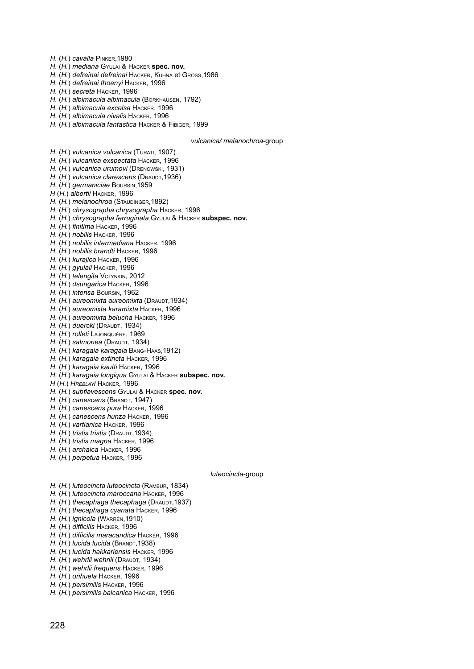*H.* (*H.*) *cavalla* Pinker,1980

- *H.* (*H.*) *mediana* Gyulai & Hacker **spec. nov.**
- *H.* (*H.*) *defreinai defreinai* Hacker, Kuhna et Gross,1986
- *H.* (*H.*) *defreinai thoenyi* Hacker, 1996
- *H.* (*H.*) *secreta* Hacker, 1996
- *H.* (*H.*) *albimacula albimacula* (Borkhausen, 1792)
- *H.* (*H.*) *albimacula excelsa* Hacker, 1996

*H.* (*H.*) *vulcanica vulcanica* (Turati, 1907)

- *H.* (*H.*) *albimacula nivalis* Hacker, 1996
- *H.* (*H.*) *albimacula fantastica* Hacker & Fibiger, 1999

*vulcanica/ melanochroa*-group

*H.* (*H.*) *vulcanica exspectata* Hacker, 1996 *H.* (*H.*) *vulcanica urumovi* (Drenowski, 1931) *H.* (*H.*) *vulcanica clarescens* (Draudt,1936) *H.* (*H.*) *germaniciae* Boursin,1959 *H* (*H.*) *albertii* Hacker, 1996 *H.* (*H.*) *melanochroa* (Staudinger,1892) *H.* (*H.*) *chrysographa chrysographa* Hacker, 1996 *H.* (*H.*) *chrysographa ferruginata* Gyulai & Hacker **subspec. nov.** *H.* (*H.*) *finitima* Hacker, 1996 *H.* (*H.*) *nobilis* Hacker, 1996 *H.* (*H.*) *nobilis intermediana* Hacker, 1996 *H.* (*H.*) *nobilis brandti* Hacker, 1996 *H.* (*H.*) *kurajica* Hacker, 1996 *H.* (*H.*) *gyulaii* Hacker, 1996 *H.* (*H.*) *telengita* Volynkin, 2012 *H.* (*H.*) *dsungarica* Hacker, 1996 *H.* (*H.*) *intensa* Boursin, 1962 *H.* (*H.*) *aureomixta aureomixta* (DRAUDT, 1934) *H.* (*H.*) *aureomixta karamixta* Hacker, 1996 *H.* (*H.*) *aureomixta belucha* Hacker, 1996 *H.* (*H.*) *duercki* (Draudt, 1934) *H.* (*H.*) *rolleti* Lajonquiére, 1969 *H.* (*H.*) *salmonea* (DRAUDT, 1934)

- *H.* (*H.*) *karagaia karagaia* Bang-Haas,1912)
- *H.* (*H.*) *karagaia extincta* Hacker, 1996
- *H.* (*H.*) *karagaia kautti* Hacker, 1996
- *H.* (*H.*) *karagaia longiqua* Gyulai & Hacker **subspec. nov.**
- *H* (*H.*) *Hreblayi* Hacker, 1996
- *H.* (*H.*) *subflavescens* Gyulai & Hacker **spec. nov.**
- *H.* (*H.*) *canescens* (Brandt, 1947)
- *H.* (*H.*) *canescens pura* Hacker, 1996
- *H.* (*H.*) *canescens hunza* Hacker, 1996
- *H.* (*H.*) *vartianica* Hacker, 1996
- *H.* (*H.*) *tristis tristis* (Draudt,1934)
- *H.* (*H.*) *tristis magna* Hacker, 1996
- *H.* (*H.*) *archaica* Hacker, 1996
- *H.* (*H.*) *perpetua* Hacker, 1996

#### *luteocincta*-group

- *H.* (*H.*) *luteocincta luteocincta* (Rambur, 1834)
- *H.* (*H.*) *luteocincta maroccana* Hacker, 1996
- *H.* (*H.*) *thecaphaga thecaphaga* (DRAUDT, 1937)
- *H.* (*H.*) *thecaphaga cyanata* Hacker, 1996
- *H.* (*H.*) *ignicola* (Warren,1910)
- *H.* (*H.*) *difficilis* Hacker, 1996
- *H.* (*H.*) *difficilis maracandica* Hacker, 1996
- *H.* (*H.*) *lucida lucida* (BRANDT, 1938)
- *H.* (*H.*) *lucida hakkariensis* Hacker, 1996
- *H.* (*H.*) *wehrlii* w*ehrlii* (Draudt, 1934)
- *H.* (*H.*) *wehrlii frequens* Hacker, 1996
- *H.* (*H.*) *orihuela* Hacker, 1996
- *H.* (*H.*) *persimilis* Hacker, 1996
- *H.* (*H.*) *persimilis balcanica* Hacker, 1996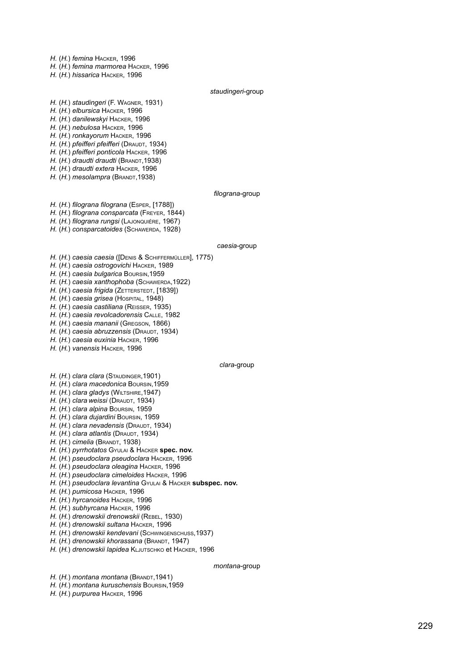*H.*  (*H.*) *femina*  Hacker, 1996

*H.*  (*H.*) *femina marmorea*  Hacker, 1996

*H.*  (*H.*) *hissarica*  Hacker, 1996

#### *staudingeri*-group

*H.*  (*H.*) *staudingeri* (F. W a gner, 1931) *H.*  (*H.*) *elbursica* Hacker, 1996 *H.*  (*H.*) *danilewskyi* Hacker, 1996 *H.*  (*H.*) *nebulosa* Hacker, 1996 *H.*  (*H.*) *ronkayorum* Hacker, 1996

*H.*  (*H.*) *pfeifferi pfeifferi*  ( Draudt, 1934)

*H.*  (*H.*) *pfeifferi ponticola*  Hacker, 1996

*H.*  (*H.*) *draudti draudti* ( Brandt,1938)

*H.*  (*H.*) *draudti extera*  Hacker, 1996

*H.*  (*H.*) *mesolampra* ( Brandt,1938)

#### *filograna*-group

*H.*  (*H.*) *filograna filograna* ( E sper , [1788]) *H.*  (*H.*) *filograna consparcata* ( Freyer , 1844) *H.*  (*H.*) *filograna rungsi* ( Lajonquiére , 1967) *H.*  (*H.*) *consparcatoides* ( Schawerda, 1928)

#### *caesia*-group

*H.*  (*H.*) *caesia caesia* ([ Deni s & Schiffermüller], 1775) *H.*  (*H.*) *caesia ostrogovichi*  Hacker, 1989 *H.*  (*H.*) *caesia bulgarica* Bour sin,1959 *H.*  (*H.*) *caesia xanthophoba* ( Schawerda ,1922) *Н. (Н.) caesia frigida (*Zєттєкѕтєот, [1839]) *H. (H.) caesia grisea (***H**ospiта∟, 1948) *H.*  (*H.*) *caesia castiliana* ( Reisser , 1935) *H.*  (*H.*) *caesia revolcadorensis*  Calle, 1982 *H.*  (*H.*) *caesia mananii* ( Gregson, 1866) *H. (H.) caesia abruzzensis (***D**raudт, 1934) *H.*  (*H.*) *caesia euxinia* Hacker, 1996

*H.*  (*H.*) *vanensis*  Hacker, 1996

#### *clara*-group

*H. (H.) clara clara (*Sта∪рі́нсев,1901)

*H.*  (*H.*) *clara macedonica* Bour sin,1959

*H. (H.) clara gladys (*Wiւтsнiռε,1947)

*H. (H.) clara weissi (***D**raudt, 1934)

*H.*  (*H.*) *clara alpina* Bour sin, 1959

*H.*  (*H.*) *clara dujardini* Bour sin, 1959

*H.*  (*H.*) *clara nevadensis* ( Draudt , 1934)

*H. (H.) clara atlantis (***D**raudт, 1934)

*Н. (Н.) cimelia (*Вкалот, 1938)

*H.*  (*H.*) *pyrrhotatos* Gyulai & Hacker **spec. nov.**

*H.*  (*H.*) *pseudoclara pseudoclara* Hacker, 1996

*H.*  (*H.*) *pseudoclara oleagina*  Hacker, 1996

*H.*  (*H.*) *pseudoclara cimeloides*  Hacker, 1996

*H.*  (*H.*) *pseudoclara levantina* Gyulai & Hacker **subspec. nov.**

*H.*  (*H.*) *pumicosa* Hacker, 1996

*H.*  (*H.*) *hyrcanoides*  Hacker, 1996

*H.*  (*H.*) *subhyrcana* Hacker, 1996

*H.*  (*H.*) *drenowskii drenowskii* ( Rebel, 1930)

*H.*  (*H.*) *drenowskii sultana* Hacker, 1996

*H. (H.) drenowskii kendevani (***S**снwingenscнuss,1937)

*H.*  (*H.*) *drenowskii khorassana* ( Brandt, 1947)

*H. (H.) drenowskii lapidea* K∟J∪тѕснко et Нѧскɛʀ, 1996

#### *montana*-group

*H.*  (*H.*) *montana montana* ( Brandt,1941)

*H.*  (*H.*) *montana kuruschensis*  Bour sin,1959

*H.*  (*H.*) *purpurea*  Hacker, 1996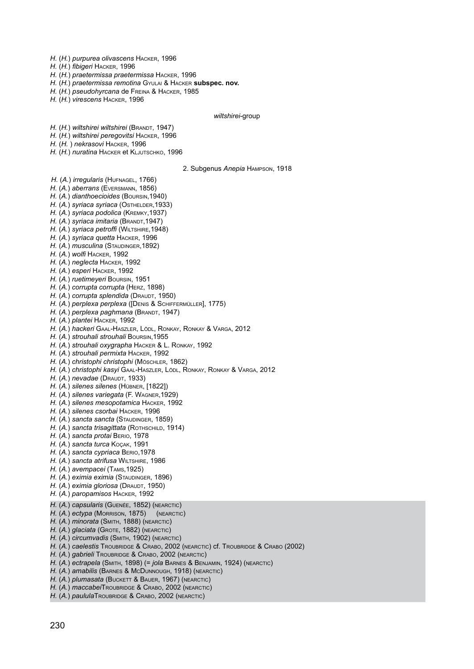*H.* (*H.*) *purpurea olivascens* Hacker, 1996

*H.* (*H.*) *fibigeri* Hacker, 1996

*H.* (*H.*) *praetermissa praetermissa* Hacker, 1996

*H.* (*H.*) *praetermissa remotina* Gyulai & Hacker **subspec. nov.**

*H.* (*H.*) *pseudohyrcana* de Freina & Hacker, 1985

*H.* (*H.*) *virescens* Hacker, 1996

#### *wiltshirei*-group

*H.* (*H.*) *wiltshirei wiltshirei* (Brandt, 1947)

*H.* (*H.*) *wiltshirei peregovitsi* Hacker, 1996

*H.* (*H.* ) *nekrasovi* Hacker, 1996

*H.* (*H.*) *nuratina* Hacker et Kljutschko, 1996

2. Subgenus *Anepia* Hampson, 1918

*H.* (*A.*) *irregularis* (Hufnagel, 1766)

*H.* (*A.*) *aberrans* (Eversmann, 1856)

*H.* (*A.*) *dianthoecioides* (Boursin,1940)

*H.* (*A.*) *syriaca syriaca* (Osthelder,1933)

*H.* (*A.*) *syriaca podolica* (Kremky,1937)

*H.* (*A.*) *syriaca imitaria* (Brandt,1947)

*H.* (*A.*) *syriaca petroffi* (Wiltshire,1948)

*H.* (*A.*) *syriaca quetta* Hacker, 1996

*H.* (*A.*) *musculina* (Staudinger,1892)

*H.* (*A.*) *wolfi* Hacker, 1992

*H.* (*A.*) *neglecta* Hacker, 1992

*H.* (*A.*) *esperi* Hacker, 1992

*H.* (*A.*) *ruetimeyeri* Boursin, 1951

*H.* (*A.*) *corrupta corrupta* (Herz, 1898)

*H.*  $(A<sub>1</sub>)$  *corrupta splendida* (DRAUDT, 1950)

*H.* (*A.*) *perplexa perplexa* ([Denis & Schiffermüller], 1775)

*H.* (A.) *perplexa paghmana* (BRANDT, 1947)

*H.* (*A.*) *plantei* Hacker, 1992

*H.* (*A.*) *hackeri* Gaal-Haszler, Lödl, Ronkay, Ronkay & Varga, 2012

*H.* (*A.*) *strouhali strouhali* Boursin,1955

*H.* (*A.*) *strouhali oxygrapha* Hacker & L. Ronkay, 1992

*H.* (*A.*) *strouhali permixta* Hacker, 1992

*H.* (*A.*) *christophi christophi* (Möschler, 1862)

*H.* (*A.*) *christophi kasyi* Gaal-Haszler, Lödl, Ronkay, Ronkay & Varga, 2012

*H.* (*A.*) *nevadae* (DRAUDT, 1933)

*H.* (*A.*) *silenes silenes* (Hübner, [1822])

*H.* (*A.*) *silenes variegata* (F. Wagner,1929)

*H.* (*A.*) *silenes mesopotamica* Hacker, 1992

*H.* (*A.*) *silenes csorbai* Hacker, 1996

*H.* (*A.*) *sancta sancta* (Staudinger, 1859)

*H.* (A.) sancta trisagittata (ROTHSCHILD, 1914)

*H.* (*A.*) *sancta protai* Berio, 1978

*H.* (*A.*) *sancta turca* Koçak, 1991

*H.* (*A.*) *sancta cypriaca* Berio,1978

*H.* (*A.*) *sancta atrifusa* Wiltshire, 1986

*H.* (*A.*) *avempacei* (Tams,1925)

*H.* (*A.*) *eximia eximia* (Staudinger, 1896)

*H.*  $(A<sub>1</sub>)$  *eximia gloriosa* (DRAUDT, 1950)

*H.* (*A.*) *paropamisos* Hacker, 1992

*H.* (*A.*) *capsularis* (Guenée, 1852) (nearctic)

*H.* (*A.*) *ectypa* (Morrison, 1875) (nearctic)

*H.* (*A.*) *minorata* (Smith, 1888) (nearctic)

*H.* (*A.*) *glaciata* (Grote, 1882) (nearctic)

*H.* (*A.*) *circumvadis* (Smith, 1902) (nearctic)

*H.* (*A.*) *caelestis* Troubridge & Crabo, 2002 (nearctic) cf. Troubridge & Crabo (2002)

*H.* (*A.*) *gabrieli* Troubridge & Crabo, 2002 (nearctic)

*H.* (*A.*) *ectrapela* (Smith, 1898) (= *jola* Barnes & Benjamin, 1924) (nearctic)

*H.* (*A.*) *amabilis* (Barnes & McDunnough, 1918) (nearctic)

*H.* (*A.*) *plumasata* (Buckett & Bauer, 1967) (nearctic)

*H.* (*A.*) *maccabei*Troubridge & Crabo, 2002 (nearctic)

*H.* (*A.*) *paulula*Troubridge & Crabo, 2002 (nearctic)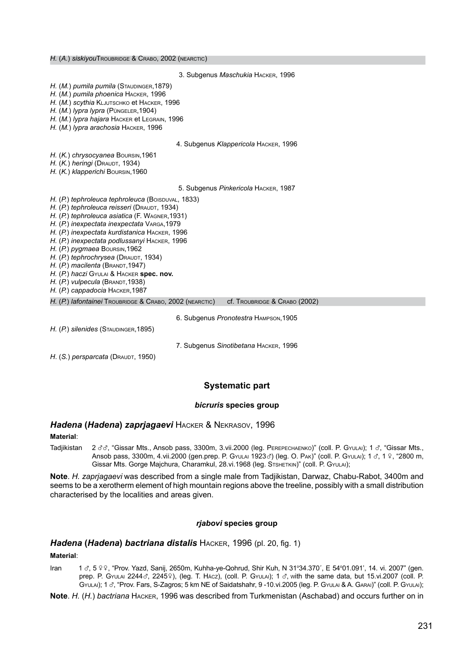3. Subgenus *Maschukia* Hacker, 1996 *H.* (*M.*) *pumila pumila* (Staudinger,1879) *H.* (*M.*) *pumila phoenica* Hacker, 1996 *H.* (*M.*) *scythia* Kljutschko et Hacker, 1996 *H.* (*M.*) *lypra lypra* (Püngeler,1904) *H.* (*M.*) *lypra hajara* Hacker et Legrain, 1996 *H.* (*M.*) *lypra arachosia* Hacker, 1996 4. Subgenus *Klappericola* Hacker, 1996 *H.* (*K.*) *chrysocyanea* Boursin,1961 *H.* (*K.*) *heringi* (Draudt, 1934) *H.* (*K.*) *klapperichi* Boursin,1960 5. Subgenus *Pinkericola* Hacker, 1987 *H.* (*P.*) *tephroleuca <i>tephroleuca* (BOISDUVAL, 1833) *H.* (*P.*) *tephroleuca reisseri* (Draudt, 1934) *H.* (*P.*) *tephroleuca asiatica* (F. Wagner,1931) *H.* (*P.*) *inexpectata inexpectata* Varga,1979 *H.* (*P.*) *inexpectata kurdistanica* Hacker, 1996 *H.* (*P.*) *inexpectata podlussanyi* Hacker, 1996 *H.* (*P.*) *pygmaea* Boursin,1962 *H.*  $(P)$  *tephrochrysea* (DRAUDT, 1934) *H.* (*P.*) *macilenta* (Brandt,1947) *H.* (*P.*) *haczi* Gyulai & Hacker **spec. nov.** *H.*  $(P)$  *vulpecula* (BRANDT, 1938) *H.* (*P.*) *cappadocia* Hacker,1987 *H.* (*P.*) *lafontainei* Troubridge & Crabo, 2002 (nearctic) cf. Troubridge & Crabo (2002) 6. Subgenus *Pronotestra* Hampson,1905 *H.* (*P.*) *silenides* (Staudinger,1895) 7. Subgenus *Sinotibetana* Hacker, 1996 *H.* (*S.*) *persparcata* (DRAUDT, 1950)

#### **Systematic part**

#### *bicruris* **species group**

#### *Hadena* **(***Hadena***)** *zaprjagaevi* Hacker & Nekrasov, 1996

#### **Material**:

Tadjikistan 2 33, "Gissar Mts., Ansob pass, 3300m, 3.vii.2000 (leg. Рекереснаемко)" (coll. P. Gyulai); 1 3, "Gissar Mts., Ansob pass, 3300m, 4.vii.2000 (gen.prep. P. GYULAI 1923 $\sigma$ ) (leg. O. Pak)" (coll. P. GYULAI); 1  $\sigma$ , 1  $\epsilon$ , 19, "2800 m, Gissar Mts. Gorge Majchura, Charamkul, 28.vi.1968 (leg. STSHETKIN)" (coll. P. GYULAI);

**Note**. *H. zaprjagaevi* was described from a single male from Tadjikistan, Darwaz, Chabu-Rabot, 3400m and seems to be a xerotherm element of high mountain regions above the treeline, possibly with a small distribution characterised by the localities and areas given.

#### *rjabovi* **species group**

#### *Hadena* **(***Hadena***)** *bactriana distalis* Hacker, 1996 (pl. 20, fig. 1)

#### **Material**:

Iran 13, 5 º º, "Prov. Yazd, Sanij, 2650m, Kuhha-ye-Qohrud, Shir Kuh, N 31°34.370´, E 54°01.091', 14. vi. 2007" (gen. prep. P. Gyulai 2244 $\sigma$ , 2245 $\circ$ ), (leg. T. Hácz), (coll. P. Gyulai); 1  $\sigma$ , with the same data, but 15.vi.2007 (coll. P. GYULAI); 1 d', "Prov. Fars, S-Zagros; 5 km NE of Saidatshahr, 9 -10.vi.2005 (leg. P. GYULAI & A. GARAI)" (coll. P. GYULAI);

**Note**. *H.* (*H.*) *bactriana* Hacker, 1996 was described from Turkmenistan (Aschabad) and occurs further on in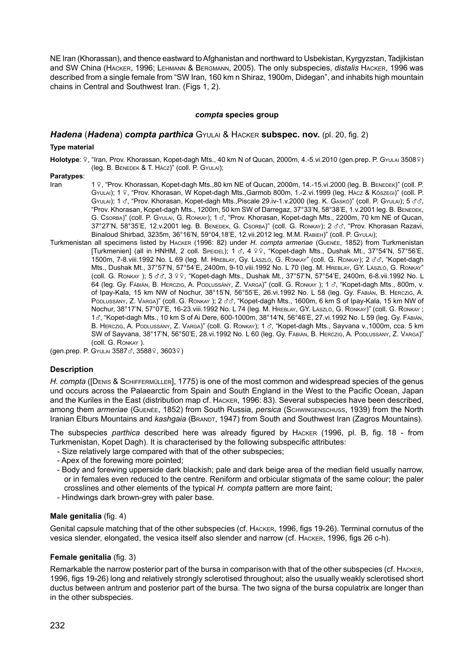NE Iran (Khorassan), and thence eastward to Afghanistan and northward to Usbekistan, Kyrgyzstan, Tadjikistan and SW China (Hacker, 1996; Lehmann & Bergmann, 2005). The only subspecies, *distalis* Hacker, 1996 was described from a single female from "SW Iran, 160 km n Shiraz, 1900m, Didegan", and inhabits high mountain chains in Central and Southwest Iran. (Figs 1, 2).

## *compta* **species group**

# *Hadena* (*Hadena*) *compta parthica* Gyulai & Hacker **subspec. nov.** (pl. 20, fig. 2)

#### **Type material**

Holotype: 9, "Iran, Prov. Khorassan, Kopet-dagh Mts., 40 km N of Qucan, 2000m, 4.-5.vi.2010 (gen.prep. P. Gyulai 35089) (leg. B. Benedek & T. Hácz)" (coll. P. Gyulai);

# **Paratypes**:

- 1 º. "Prov. Khorassan, Kopet-dagh Mts.,80 km NE of Qucan, 2000m, 14.-15.vi.2000 (leg. B. BENEDEK)" (coll. P. Gyulai); 1 º, "Prov. Khorasan, W Kopet-dagh Mts.,Garmob 800m, 1.-2.vi.1999 (leg. Hácz & Kőszegi)" (coll. P.  $Gy|_{A}$ a); 1  $\sigma$ , "Prov. Khorasan, Kopet-dagh Mts.,Piscale 29.iv-1.v.2000 (leg. K. Gaskó)" (coll. P. Gyulai); 5  $\sigma \sigma$ "Prov. Khorasan, Kopet-dagh Mts., 1200m, 50 km SW of Darregaz, 37°33'N, 58°38'E, 1.v.2001 leg. B. Benedek, G. Csorba)" (coll. P. Gyulai, G. Ronkay); 1 3, "Prov. Khorasan, Kopet-dagh Mts., 2200m, 70 km NE of Qucan, 37°27'N, 58°35'E, 12.v.2001 leg. B. BENEDEK, G. CSORBA)" (coll. G. RONKAY); 2 33, "Prov. Khorasan Razavi, Binaloud Shirbad, 3235m, 36°16'N, 59°04,18'E, 12.vii.2012 leg. M.M. Rabieh)" (coll. P. Gyulai);
- Turkmenistan all specimens listed by Hacker (1996: 82) under *H. compta armeriae* (Guenée, 1852) from Turkmenistan [Turkmenien] (all in HNHM, 2 coll. Speidel); 1 3, 4 9 9, "Kopet-dagh Mts., Dushak Mt., 37°54'N, 57°56'E, 1500m, 7-8.viii.1992 No. L 69 (leg. M. Няєвцау, Gy. LászLó, G. Ronkay" (coll. G. Ronkay); 2 33, "Kopet-dagh Mts., Dushak Mt., 37°57'N, 57°54'E, 2400m, 9-10.viii.1992 No. L 70 (leg. M. Hreblay, GY. László, G. Ronkay" (coll. G. RONKAY); 5 3 3 9 9, "Kopet-dagh Mts., Dushak Mt., 37°57'N, 57°54'E, 2400m, 6-8.vii.1992 No. L (сел. ст. ст. ст.)<br>64 (leg. Gy. Fábián, B. Herczig, A. Podlussány, Z. Varga)" (coll. G. Ronkay ); 1 ♂, "Kopet-dagh Mts., 800m, v. of Ipay-Kala, 15 km NW of Nochur, 38°15'N, 56°55'E, 26.vi.1992 No. L 58 (leg. Gy. Fábián, B. Herczig, A. PopLussány, Z. Varga)" (coll. G. Ronkay ); 2 33, "Kopet-dagh Mts., 1600m, 6 km S of Ipay-Kala, 15 km NW of Nochur, 38°17'N, 57°07'E, 16-23.viii.1992 No. L 74 (leg. M. Hreblay, GY. László, G. Ronkay)" (coll. G. Ronkay ; <sup>1</sup>x, "Kopet-dagh Mts., 10 km S of Ai Dere, 600-1000m, 38°14'N, 56°46'E, 27.vi.1992 No. L 59 (leg. Gy. Fábián, B. HERCZIG, A. PODLUSSÁNY, Z. VARGA)" (coll. G. RONKAY); 1 c', "Kopet-dagh Mts., Sayvana v.,1000m, cca. 5 km SW of Sayvana, 38°17'N, 56°50'E, 28.vi.1992 No. L 60 (leg. Gy. Fábián, B. Herczig, A. Podlussány, Z. Varga)" (coll. G. Ronkay ).

(gen.prep. P. GYULAI 3587c, 35889, 36039)

#### **Description**

H. compta ([DENIS & SCHIFFERMÜLLER], 1775) is one of the most common and widespread species of the genus und occurs across the Palaearctic from Spain and South England in the West to the Pacific Ocean, Japan and the Kuriles in the East (distribution map cf. Hacker, 1996: 83). Several subspecies have been described, among them *armeriae* (Guenée, 1852) from South Russia, *persica* (Schwingenschuss, 1939) from the North Iranian Elburs Mountains and *kashgaia* (Brandt, 1947) from South and Southwest Iran (Zagros Mountains).

The subspecies *parthica* described here was already figured by Hacker (1996, pl. B, fig. 18 - from Turkmenistan, Kopet Dagh). It is characterised by the following subspecific attributes:

- Size relatively large compared with that of the other subspecies;
- Apex of the forewing more pointed;
- Body and forewing upperside dark blackish; pale and dark beige area of the median field usually narrow, or in females even reduced to the centre. Reniform and orbicular stigmata of the same colour; the paler crosslines and other elements of the typical *H. compta* pattern are more faint;
- Hindwings dark brown-grey with paler base.

#### **Male genitalia** (fig. 4)

Genital capsule matching that of the other subspecies (cf. Hacker, 1996, figs 19-26). Terminal cornutus of the vesica slender, elongated, the vesica itself also slender and narrow (cf. Hacker, 1996, figs 26 c-h).

#### **Female genitalia** (fig. 3)

Remarkable the narrow posterior part of the bursa in comparison with that of the other subspecies (cf. Hacker, 1996, figs 19-26) long and relatively strongly sclerotised throughout; also the usually weakly sclerotised short ductus between antrum and posterior part of the bursa. The two signa of the bursa copulatrix are longer than in the other subspecies.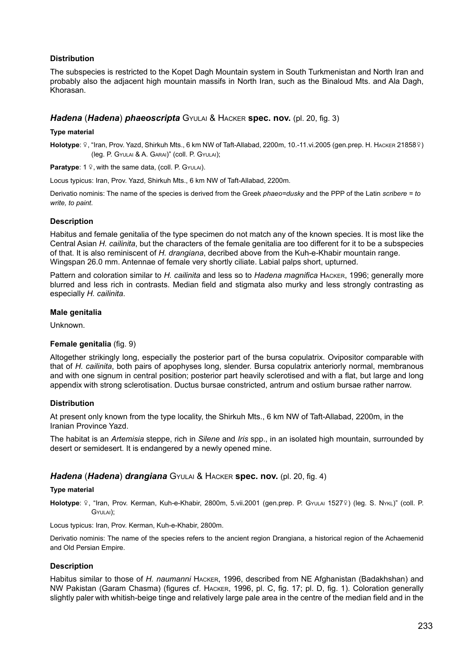## **Distribution**

The subspecies is restricted to the Kopet Dagh Mountain system in South Turkmenistan and North Iran and probably also the adjacent high mountain massifs in North Iran, such as the Binaloud Mts. and Ala Dagh, Khorasan.

## *Hadena* (*Hadena*) *phaeoscripta* Gyulai & Hacker **spec. nov.** (pl. 20, fig. 3)

#### **Type material**

Holotype: ?, "Iran, Prov. Yazd, Shirkuh Mts., 6 km NW of Taft-Allabad, 2200m, 10.-11.vi.2005 (gen.prep. H. HAcker 21858?) (leg. P. Gyulai & A. Garai)" (coll. P. Gyulai);

**Paratype:** 1 º. with the same data, (coll. P. Gyulai).

Locus typicus: Iran, Prov. Yazd, Shirkuh Mts., 6 km NW of Taft-Allabad, 2200m.

Derivatio nominis: The name of the species is derived from the Greek *phaeo=dusky* and the PPP of the Latin *scribere = to write, to paint*.

#### **Description**

Habitus and female genitalia of the type specimen do not match any of the known species. It is most like the Central Asian *H. cailinita*, but the characters of the female genitalia are too different for it to be a subspecies of that. It is also reminiscent of *H. drangiana*, decribed above from the Kuh-e-Khabir mountain range. Wingspan 26.0 mm. Antennae of female very shortly ciliate. Labial palps short, upturned.

Pattern and coloration similar to *H. cailinita* and less so to *Hadena magnifica* Hacker, 1996; generally more blurred and less rich in contrasts. Median field and stigmata also murky and less strongly contrasting as especially *H. cailinita*.

#### **Male genitalia**

Unknown.

#### **Female genitalia** (fig. 9)

Altogether strikingly long, especially the posterior part of the bursa copulatrix. Ovipositor comparable with that of *H. cailinita*, both pairs of apophyses long, slender. Bursa copulatrix anteriorly normal, membranous and with one signum in central position; posterior part heavily sclerotised and with a flat, but large and long appendix with strong sclerotisation. Ductus bursae constricted, antrum and ostium bursae rather narrow.

#### **Distribution**

At present only known from the type locality, the Shirkuh Mts., 6 km NW of Taft-Allabad, 2200m, in the Iranian Province Yazd.

The habitat is an *Artemisia* steppe, rich in *Silene* and *Iris* spp., in an isolated high mountain, surrounded by desert or semidesert. It is endangered by a newly opened mine.

# *Hadena* (*Hadena*) *drangiana* Gyulai & Hacker **spec. nov.** (pl. 20, fig. 4)

#### **Type material**

Holotype: 9, "Iran, Prov. Kerman, Kuh-e-Khabir, 2800m, 5.vii.2001 (gen.prep. P. GyuLAI 15279) (leg. S. NykL)" (coll. P. Gyulai);

Locus typicus: Iran, Prov. Kerman, Kuh-e-Khabir, 2800m.

Derivatio nominis: The name of the species refers to the ancient region Drangiana, a historical region of the Achaemenid and Old Persian Empire.

#### **Description**

Habitus similar to those of *H. naumanni* Hacker, 1996, described from NE Afghanistan (Badakhshan) and NW Pakistan (Garam Chasma) (figures cf. Hacker, 1996, pl. C, fig. 17; pl. D, fig. 1). Coloration generally slightly paler with whitish-beige tinge and relatively large pale area in the centre of the median field and in the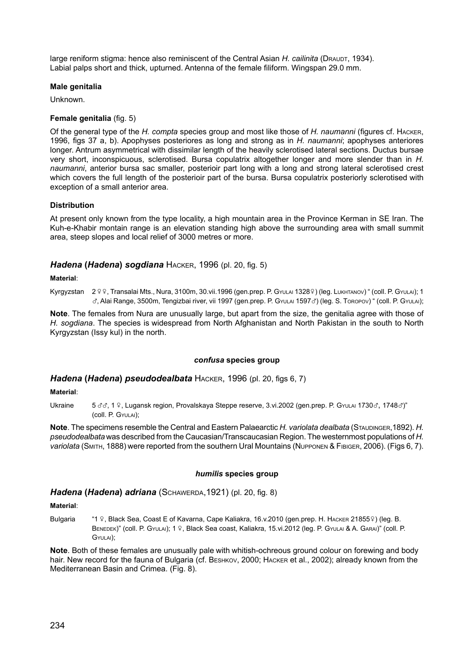large reniform stigma: hence also reminiscent of the Central Asian *H. cailinita* (DRAUDT, 1934). Labial palps short and thick, upturned. Antenna of the female filiform. Wingspan 29.0 mm.

## **Male genitalia**

Unknown.

## **Female genitalia** (fig. 5)

Of the general type of the *H. compta* species group and most like those of *H. naumanni* (figures cf. Hacker, 1996, figs 37 a, b). Apophyses posteriores as long and strong as in *H. naumanni*; apophyses anteriores longer. Antrum asymmetrical with dissimilar length of the heavily sclerotised lateral sections. Ductus bursae very short, inconspicuous, sclerotised. Bursa copulatrix altogether longer and more slender than in *H. naumanni*, anterior bursa sac smaller, posterioir part long with a long and strong lateral sclerotised crest which covers the full length of the posterioir part of the bursa. Bursa copulatrix posteriorly sclerotised with exception of a small anterior area.

## **Distribution**

At present only known from the type locality, a high mountain area in the Province Kerman in SE Iran. The Kuh-e-Khabir montain range is an elevation standing high above the surrounding area with small summit area, steep slopes and local relief of 3000 metres or more.

# *Hadena* **(***Hadena***)** *sogdiana* Hacker, 1996 (pl. 20, fig. 5)

#### **Material**:

Kyrgyzstan 2 º º, Transalai Mts., Nura, 3100m, 30.vii.1996 (gen.prep. P. GyuLAI 1328º) (leg. LukHTANOV) " (coll. P. GyuLAI); 1  $\sigma$ , Alai Range, 3500m, Tengizbai river, vii 1997 (gen.prep. P. GYULAI 1597 $\sigma$ ) (leg. S. Toropov) " (coll. P. GYULAI);

**Note**. The females from Nura are unusually large, but apart from the size, the genitalia agree with those of *H. sogdiana*. The species is widespread from North Afghanistan and North Pakistan in the south to North Kyrgyzstan (Issy kul) in the north.

#### *confusa* **species group**

## *Hadena* **(***Hadena***)** *pseudodealbata* Hacker, 1996 (pl. 20, figs 6, 7)

#### **Material**:

Ukraine 5 & 3, 1 º, Lugansk region, Provalskaya Steppe reserve, 3.vi.2002 (gen.prep. P. GYULAI 1730 &, 1748 &)" (coll. P. Gyulai);

**Note**. The specimens resemble the Central and Eastern Palaearctic *H. variolata dealbata* (STAUDINGER, 1892). *H. pseudodealbata* was described from the Caucasian/Transcaucasian Region. The westernmost populations of *H. variolata* (Smith, 1888) were reported from the southern Ural Mountains (Nupponen & Fibiger, 2006). (Figs 6, 7).

#### *humilis* **species group**

## *Hadena* **(***Hadena***)** *adriana* (Schawerda,1921) (pl. 20, fig. 8)

#### **Material**:

Bulgaria "1 º, Black Sea, Coast E of Kavarna, Cape Kaliakra, 16.v.2010 (gen.prep. H. HACKER 21855º) (leg. B. BENEDEK)" (COll. P. GYULAI); 1 º, Black Sea coast, Kaliakra, 15.vi.2012 (leg. P. GYULAI & A. GARAI)" (COll. P. Gyulai);

**Note**. Both of these females are unusually pale with whitish-ochreous ground colour on forewing and body hair. New record for the fauna of Bulgaria (cf. BESHKOV, 2000; HACKER et al., 2002); already known from the Mediterranean Basin and Crimea. (Fig. 8).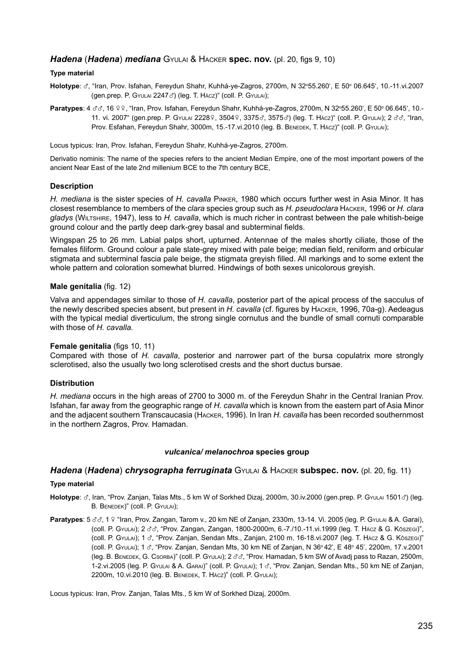## *Hadena* (*Hadena*) *mediana* Gyulai & Hacker **spec. nov.** (pl. 20, figs 9, 10)

#### **Type material**

- Holotype: ♂, "Iran, Prov. Isfahan, Fereydun Shahr, Kuhhá-ye-Zagros, 2700m, N 32°55.260', E 50° 06.645', 10.-11.vi.2007 (gen.prep. P. Gyulai 22473) (leg. T. Hácz)" (coll. P. Gyulai);
- **Paratypes**: 4 33, 16 99, "Iran, Prov. Isfahan, Fereydun Shahr, Kuhhá-ye-Zagros, 2700m, N 32°55.260', E 50° 06.645', 10.-11. vi. 2007" (gen.prep. P. Gyulai 22289, 35049, 3375c, 3575c) (leg. T. Hácz)" (coll. P. Gyulai); 2 c3, "Iran, Prov. Esfahan, Fereydun Shahr, 3000m, 15.-17.vi.2010 (leg. B. BENEDEK, T. Hácz)" (coll. P. GYULAI);

Locus typicus: Iran, Prov. Isfahan, Fereydun Shahr, Kuhhá-ye-Zagros, 2700m.

Derivatio nominis: The name of the species refers to the ancient Median Empire, one of the most important powers of the ancient Near East of the late 2nd millenium BCE to the 7th century BCE,

## **Description**

*H. mediana* is the sister species of *H. cavalla* Pinker, 1980 which occurs further west in Asia Minor. It has closest resemblance to members of the *clara* species group such as *H. pseudoclara* Hacker, 1996 or *H. clara gladys* (Wiltshire, 1947), less to *H. cavalla*, which is much richer in contrast between the pale whitish-beige ground colour and the partly deep dark-grey basal and subterminal fields.

Wingspan 25 to 26 mm. Labial palps short, upturned. Antennae of the males shortly ciliate, those of the females filiform. Ground colour a pale slate-grey mixed with pale beige; median field, reniform and orbicular stigmata and subterminal fascia pale beige, the stigmata greyish filled. All markings and to some extent the whole pattern and coloration somewhat blurred. Hindwings of both sexes unicolorous greyish.

#### **Male genitalia** (fig. 12)

Valva and appendages similar to those of *H. cavalla*, posterior part of the apical process of the sacculus of the newly described species absent, but present in *H. cavalla* (cf. figures by Hacker, 1996, 70a-g). Aedeagus with the typical medial diverticulum, the strong single cornutus and the bundle of small cornuti comparable with those of *H. cavalla.*

#### **Female genitalia** (figs 10, 11)

Compared with those of *H. cavalla*, posterior and narrower part of the bursa copulatrix more strongly sclerotised, also the usually two long sclerotised crests and the short ductus bursae.

#### **Distribution**

*H. mediana* occurs in the high areas of 2700 to 3000 m. of the Fereydun Shahr in the Central Iranian Prov. Isfahan, far away from the geographic range of *H. cavalla* which is known from the eastern part of Asia Minor and the adjacent southern Transcaucasia (Hacker, 1996). In Iran *H. cavalla* has been recorded southernmost in the northern Zagros, Prov. Hamadan.

#### *vulcanica/ melanochroa* **species group**

## *Hadena* (*Hadena*) *chrysographa ferruginata* Gyulai & Hacker **subspec. nov.** (pl. 20, fig. 11)

#### **Type material**

Holotype:  $\sigma$ , Iran, "Prov. Zanjan, Talas Mts., 5 km W of Sorkhed Dizaj, 2000m, 30.iv.2000 (gen.prep. P. GyuLAI 1501 $\sigma$ ) (leg. B. BENEDEK)" (COII. P. GYULAI);

**Paratypes**: 5  $\sigma\sigma$ , 1 º "Iran, Prov. Zangan, Tarom v., 20 km NE of Zanjan, 2330m, 13-14. Vi. 2005 (leg. P. Gyulai & A. Garai), (coll. P. Gyulai); 2 xx, "Prov. Zangan, Zangan, 1800-2000m, 6.-7./10.-11.vi.1999 (leg. T. Hácz & G. Kőszegi)", (coll. P. Gyulai); 1 x, "Prov. Zanjan, Sendan Mts., Zanjan, 2100 m, 16-18.vi.2007 (leg. T. Hácz & G. Kőszegi)" .<br>(coll. P. GYULAI); 1 ♂, "Prov. Zanjan, Sendan Mts, 30 km NE of Zanjan, N 36º42', E 48º 45', 2200m, 17.v.2001 (leg. B. BENEDEK, G. Csorea)" (coll. P. GyuLai); 2  $\sigma\sigma$ , "Prov. Hamadan, 5 km SW of Avadj pass to Razan, 2500m, 1-2.vi.2005 (leg. P. Gyulai & A. GARAI)" (coll. P. Gyulai); 1 3, "Prov. Zanjan, Sendan Mts., 50 km NE of Zanjan, 2200m, 10.vi.2010 (leg. B. Benedek, T. Hácz)" (coll. P. Gyulai);

Locus typicus: Iran, Prov. Zanjan, Talas Mts., 5 km W of Sorkhed Dizaj, 2000m.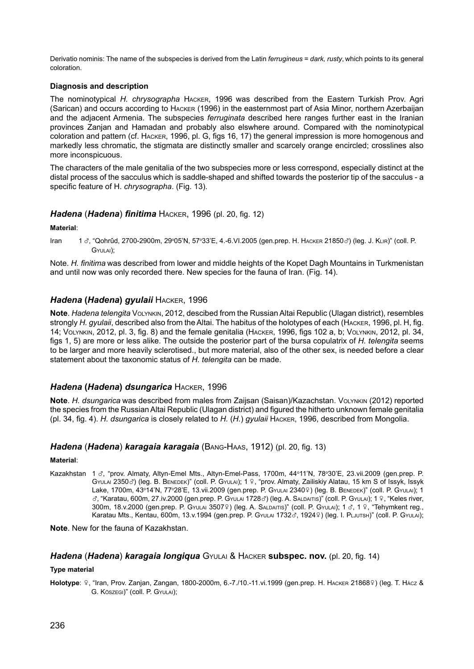Derivatio nominis: The name of the subspecies is derived from the Latin *ferrugineus* = *dark, rusty*, which points to its general coloration.

## **Diagnosis and description**

The nominotypical *H. chrysographa* Hacker, 1996 was described from the Eastern Turkish Prov. Agri (Sarican) and occurs according to Hacker (1996) in the easternmost part of Asia Minor, northern Azerbaijan and the adjacent Armenia. The subspecies *ferruginata* described here ranges further east in the Iranian provinces Zanjan and Hamadan and probably also elswhere around. Compared with the nominotypical coloration and pattern (cf. Hacker, 1996, pl. G, figs 16, 17) the general impression is more homogenous and markedly less chromatic, the stigmata are distinctly smaller and scarcely orange encircled; crosslines also more inconspicuous.

The characters of the male genitalia of the two subspecies more or less correspond, especially distinct at the distal process of the sacculus which is saddle-shaped and shifted towards the posterior tip of the sacculus - a specific feature of H. *chrysographa*. (Fig. 13).

## *Hadena* (*Hadena*) *finitima* Hacker, 1996 (pl. 20, fig. 12)

#### **Material**:

Iran 1 8, "Qohrûd, 2700-2900m, 29°05'N, 57°33'E, 4.-6.VI.2005 (gen.prep. H. HACKER 218508) (leg. J. KLIR)" (coll. P. Gyulai);

Note. *H. finitima* was described from lower and middle heights of the Kopet Dagh Mountains in Turkmenistan and until now was only recorded there. New species for the fauna of Iran. (Fig. 14).

## *Hadena* **(***Hadena***)** *gyulaii* Hacker, 1996

**Note**. *Hadena telengita* Volynkin, 2012, descibed from the Russian Altai Republic (Ulagan district), resembles strongly *H. gyulaii*, described also from the Altai. The habitus of the holotypes of each (Hacker, 1996, pl. H, fig. 14; Volynkin, 2012, pl. 3, fig. 8) and the female genitalia (Hacker, 1996, figs 102 a, b; Volynkin, 2012, pl. 34, figs 1, 5) are more or less alike. The outside the posterior part of the bursa copulatrix of *H. telengita* seems to be larger and more heavily sclerotised., but more material, also of the other sex, is needed before a clear statement about the taxonomic status of *H. telengita* can be made.

## *Hadena* **(***Hadena***)** *dsungarica* Hacker, 1996

**Note**. *H. dsungarica* was described from males from Zaijsan (Saisan)/Kazachstan. Volynkin (2012) reported the species from the Russian Altai Republic (Ulagan district) and figured the hitherto unknown female genitalia (pl. 34, fig. 4). *H. dsungarica* is closely related to *H.* (*H.*) *gyulaii* Hacker, 1996, described from Mongolia.

## *Hadena* (*Hadena*) *karagaia karagaia* (Bang-Haas, 1912) (pl. 20, fig. 13)

## **Material**:

Kazakhstan 1 3, "prov. Almaty, Altyn-Emel Mts., Altyn-Emel-Pass, 1700m, 44°11'N, 78°30'E, 23.vii.2009 (gen.prep. P. GYULAI 2350c<sup>3</sup>) (leg. B. BENEDEK)" (coll. P. GYULAI); 1 º, "prov. Almaty, Zailiskiy Alatau, 15 km S of Issyk, Issyk Lake, 1700m, 43°14'N, 77°28'E, 13.vii.2009 (gen.prep. P. Gyulai 23409) (leg. В. Велерек)" (coll. P. Gyulai); 1  $\sigma$ , "Karatau, 600m, 27.iv.2000 (gen.prep. P. GyuLAI 1728 $\sigma$ ) (leg. A. SALDAITIS)" (coll. P. GyuLAI); 1 º, "Keles river,  $300$ m,  $18. v.2000$  (gen.prep. P. Gyulai  $3507$  ) (leg. A. Saldaitis)" (coll. P. Gyulai);  $1 \text{ d}$ ,  $1 \text{ }$ , "Tehymkent reg., Karatau Mts., Kentau, 600m, 13.v.1994 (gen.prep. P. Gyulai 1732c, 19249) (leg. I. Pljutsh)" (coll. P. Gyulai);

**Note**. New for the fauna of Kazakhstan.

# *Hadena* (*Hadena*) *karagaia longiqua* Gyulai & Hacker **subspec. nov.** (pl. 20, fig. 14)

# **Type material**

Holotype: 9, "Iran, Prov. Zanjan, Zangan, 1800-2000m, 6.-7./10.-11.vi.1999 (gen.prep. H. HAcker 218689) (leg. T. Hácz & G. Köszegi)" (coll. P. Gyulai);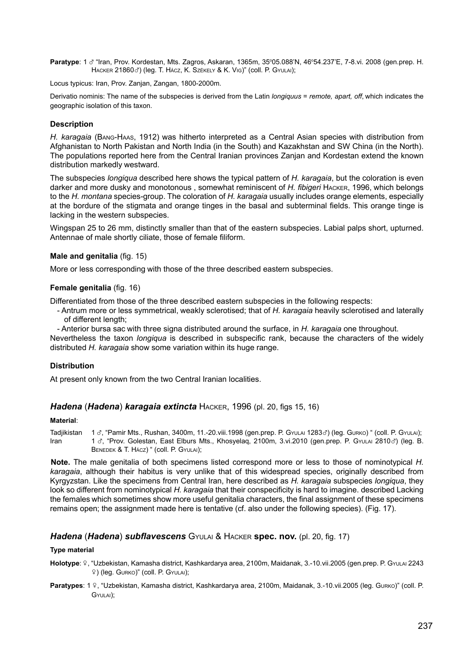Paratype: 1 o<sup>n</sup> "Iran, Prov. Kordestan, Mts. Zagros, Askaran, 1365m, 35°05.088'N, 46°54.237'E, 7-8.vi. 2008 (gen.prep. H. HACKER 21860 c') (leg. T. HÁCZ, K. SZÉKELY & K. Vig)" (coll. P. GYULAI);

Locus typicus: Iran, Prov. Zanjan, Zangan, 1800-2000m.

Derivatio nominis: The name of the subspecies is derived from the Latin *longiquus* = *remote, apart, off*, which indicates the geographic isolation of this taxon.

#### **Description**

*H. karagaia* (Bang-Haas, 1912) was hitherto interpreted as a Central Asian species with distribution from Afghanistan to North Pakistan and North India (in the South) and Kazakhstan and SW China (in the North). The populations reported here from the Central Iranian provinces Zanjan and Kordestan extend the known distribution markedly westward.

The subspecies *longiqua* described here shows the typical pattern of *H. karagaia*, but the coloration is even darker and more dusky and monotonous , somewhat reminiscent of *H. fibigeri* Hacker, 1996, which belongs to the *H. montana* species-group. The coloration of *H. karagaia* usually includes orange elements, especially at the bordure of the stigmata and orange tinges in the basal and subterminal fields. This orange tinge is lacking in the western subspecies.

Wingspan 25 to 26 mm, distinctly smaller than that of the eastern subspecies. Labial palps short, upturned. Antennae of male shortly ciliate, those of female filiform.

#### **Male and genitalia** (fig. 15)

More or less corresponding with those of the three described eastern subspecies.

#### **Female genitalia** (fig. 16)

Differentiated from those of the three described eastern subspecies in the following respects:

- Antrum more or less symmetrical, weakly sclerotised; that of *H. karagaia* heavily sclerotised and laterally of different length;
- Anterior bursa sac with three signa distributed around the surface, in *H. karagaia* one throughout.

Nevertheless the taxon *longiqua* is described in subspecific rank, because the characters of the widely distributed *H. karagaia* show some variation within its huge range.

#### **Distribution**

At present only known from the two Central Iranian localities.

### *Hadena* (*Hadena*) *karagaia extincta* Hacker, 1996 (pl. 20, figs 15, 16)

## **Material**:

Tadjikistan 1 ♂, "Pamir Mts., Rushan, 3400m, 11.-20.viii.1998 (gen.prep. P. GyuLai 1283♂) (leg. Gurko) " (coll. P. GyuLai);<br>Iran 1 ♂ "Prov. Golestan East Elburs Mts. Khosvelag 2100m 3 vi 2010 (gen.prep. P. GyuLai 2810♂) ( 1  $\sigma$ , "Prov. Golestan, East Elburs Mts., Khosyelaq, 2100m, 3.vi.2010 (gen.prep. P. Gyulai 2810 $\sigma$ ) (leg. B. BENEDEK & T. HÁCZ) " (COII. P. GYULAI);

**Note.** The male genitalia of both specimens listed correspond more or less to those of nominotypical *H. karagaia*, although their habitus is very unlike that of this widespread species, originally described from Kyrgyzstan. Like the specimens from Central Iran, here described as *H. karagaia* subspecies *longiqua*, they look so different from nominotypical *H. karagaia* that their conspecificity is hard to imagine. described Lacking the females which sometimes show more useful genitalia characters, the final assignment of these specimens remains open; the assignment made here is tentative (cf. also under the following species). (Fig. 17).

### *Hadena* (*Hadena*) *subflavescens* Gyulai & Hacker **spec. nov.** (pl. 20, fig. 17)

#### **Type material**

Holotype: 9, "Uzbekistan, Kamasha district, Kashkardarya area, 2100m, Maidanak, 3.-10.vii.2005 (gen.prep. P. GyuLAI 2243 w) (leg. Gurko)" (coll. P. Gyulai);

Paratypes: 1 º, "Uzbekistan, Kamasha district, Kashkardarya area, 2100m, Maidanak, 3.-10.vii.2005 (leg. Gurko)" (coll. P. Gyulai);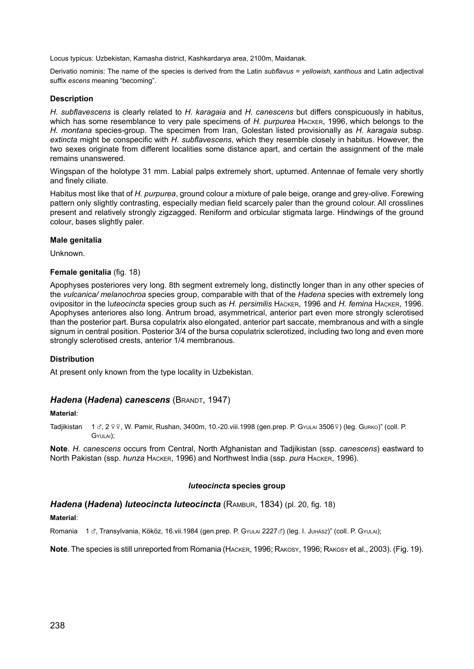Locus typicus: Uzbekistan, Kamasha district, Kashkardarya area, 2100m, Maidanak.

Derivatio nominis: The name of the species is derived from the Latin *subflavus* = *yellowish,* x*anthous* and Latin adjectival suffix *escens* meaning "becoming".

#### **Description**

*H. subflavescens* is clearly related to *H. karagaia* and *H. canescens* but differs conspicuously in habitus, which has some resemblance to very pale specimens of *H. purpurea* Hacker, 1996, which belongs to the *H. montana* species-group. The specimen from Iran, Golestan listed provisionally as *H. karagaia* subsp. *extincta* might be conspecific with *H. subflavescens*, which they resemble closely in habitus. However, the two sexes originate from different localities some distance apart, and certain the assignment of the male remains unanswered.

Wingspan of the holotype 31 mm. Labial palps extremely short, upturned. Antennae of female very shortly and finely ciliate.

Habitus most like that of *H. purpurea*, ground colour a mixture of pale beige, orange and grey-olive. Forewing pattern only slightly contrasting, especially median field scarcely paler than the ground colour. All crosslines present and relatively strongly zigzagged. Reniform and orbicular stigmata large. Hindwings of the ground colour, bases slightly paler.

#### **Male genitalia**

Unknown.

#### **Female genitalia** (fig. 18)

Apophyses posteriores very long. 8th segment extremely long, distinctly longer than in any other species of the *vulcanica/ melanochroa* species group, comparable with that of the *Hadena* species with extremely long ovipositor in the l*uteocincta* species group such as *H. persimilis* Hacker, 1996 and *H. femina* Hacker, 1996. Apophyses anteriores also long. Antrum broad, asymmetrical, anterior part even more strongly sclerotised than the posterior part. Bursa copulatrix also elongated, anterior part saccate, membranous and with a single signum in central position. Posterior 3/4 of the bursa copulatrix sclerotized, including two long and even more strongly sclerotised crests, anterior 1/4 membranous.

#### **Distribution**

At present only known from the type locality in Uzbekistan.

#### *Hadena* **(***Hadena***)** *canescens* (Brandt, 1947)

#### **Material**:

Tadjikistan 1 3, 2 º º, W. Pamir, Rushan, 3400m, 10.-20.viii.1998 (gen.prep. P. GyuLAI 3506º) (leg. Gurko)" (coll. P. Gyulai);

**Note**. *H. canescens* occurs from Central, North Afghanistan and Tadjikistan (ssp. *canescens*) eastward to North Pakistan (ssp. *hunza* Hacker, 1996) and Northwest India (ssp. *pura* Hacker, 1996).

## *luteocincta* **species group**

#### *Hadena* **(***Hadena***)** *luteocincta luteocincta* (Rambur, 1834) (pl. 20, fig. 18)

**Material**:

Romania 1 3, Transylvania, Kököz, 16.vii.1984 (gen.prep. P. Gyulai 22273) (leg. I. Juhász)" (coll. P. Gyulai);

**Note**. The species is still unreported from Romania (Hacker, 1996; Rakosy, 1996; Rakosy et al., 2003). (Fig. 19).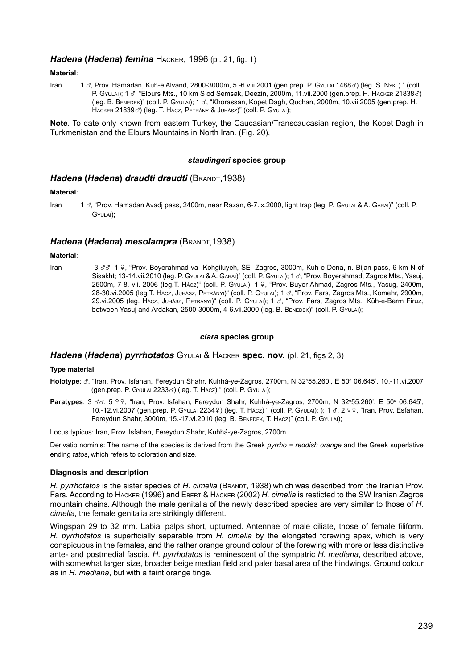## *Hadena* **(***Hadena***)** *femina* Hacker, 1996 (pl. 21, fig. 1)

**Material**:

Iran 1 &, Prov. Hamadan, Kuh-e Alvand, 2800-3000m, 5.-6.viii.2001 (gen.prep. P. GyuLAI 1488&) (leg. S. Nykl) " (coll. P. Gyulai); 1  $\sigma$ , "Elburs Mts., 10 km S od Semsak, Deezin, 2000m, 11.vii.2000 (gen.prep. H. HACKER 21838 $\sigma$ ) (leg. B. Benedek)" (coll. P. Gyulai); <sup>1</sup> x, "Khorassan, Kopet Dagh, Quchan, 2000m, 10.vii.2005 (gen.prep. H. HACKER 21839c<sup>3</sup>) (leg. T. HÁCZ, PETRÁNY & JUHÁSZ)" (COII. P. GYULAI);

**Note**. To date only known from eastern Turkey, the Caucasian/Transcaucasian region, the Kopet Dagh in Turkmenistan and the Elburs Mountains in North Iran. (Fig. 20),

#### *staudingeri* **species group**

## *Hadena* **(***Hadena***)** *draudti draudti* (Brandt,1938)

#### **Material**:

Iran 1 x, "Prov. Hamadan Avadj pass, 2400m, near Razan, 6-7.ix.2000, light trap (leg. P. Gyulai & A. Garai)" (coll. P. Gyulai);

## *Hadena* **(***Hadena***)** *mesolampra* (Brandt,1938)

#### **Material**:

Iran 3 3 x 1 º, "Prov. Boverahmad-va- Kohgiluyeh, SE- Zagros, 3000m, Kuh-e-Dena, n. Bijan pass, 6 km N of Sisakht; 13-14.vii.2010 (leg. P. Gyulai & A. Garai)" (coll. P. Gyulai); 1 d, "Prov. Boyerahmad, Zagros Mts., Yasuj, 2500m, 7-8. vii. 2006 (leg.T. Hácz)" (coll. P. Gyulai); 1 º, "Prov. Buyer Ahmad, Zagros Mts., Yasug, 2400m, 28-30.vi.2005 (leg.T. Hácz, Juhász, Petrányi)" (coll. P. Gyulai); 1 3, "Prov. Fars, Zagros Mts., Komehr, 2900m, 29.vi.2005 (leg. Hácz, Juhász, PETRÁNYI)" (coll. P. GyuLAI); 1 3, "Prov. Fars, Zagros Mts., Küh-e-Barm Firuz, between Yasuj and Ardakan, 2500-3000m, 4-6.vii.2000 (leg. B. BENEDEK)" (coll. P. GYULAI);

## *clara* **species group**

#### *Hadena* (*Hadena*) *pyrrhotatos* Gyulai & Hacker **spec. nov.** (pl. 21, figs 2, 3)

#### **Type material**

- Holotype: ♂, "Iran, Prov. Isfahan, Fereydun Shahr, Kuhhá-ye-Zagros, 2700m, N 32°55.260', E 50° 06.645', 10.-11.vi.2007 (gen.prep. P. Gyulai <sup>2233</sup>x) (leg. T. Hácz) " (coll. P. Gyulai);
- Paratypes: 3 33, 5 99, "Iran, Prov. Isfahan, Fereydun Shahr, Kuhhá-ye-Zagros, 2700m, N 32°55.260', E 50° 06.645', 10.-12.vi.2007 (gen.prep. P. Gyulai 22349) (leg. T. Hácz) " (coll. P. Gyulai); ); 1 3, 2 9 9, "Iran, Prov. Esfahan, Fereydun Shahr, 3000m, 15.-17.vi.2010 (leg. B. BENEDEK, T. HÁCZ)" (COll. P. GYULAI);

Locus typicus: Iran, Prov. Isfahan, Fereydun Shahr, Kuhhá-ye-Zagros, 2700m.

Derivatio nominis: The name of the species is derived from the Greek *pyrrho = reddish orange* and the Greek superlative ending *tatos*, which refers to coloration and size.

#### **Diagnosis and description**

H. pyrrhotatos is the sister species of *H. cimelia* (BRANDT, 1938) which was described from the Iranian Prov. Fars. According to Hacker (1996) and Ebert & Hacker (2002) *H. cimelia* is resticted to the SW Iranian Zagros mountain chains. Although the male genitalia of the newly described species are very similar to those of *H. cimelia*, the female genitalia are strikingly different.

Wingspan 29 to 32 mm. Labial palps short, upturned. Antennae of male ciliate, those of female filiform. *H. pyrrhotatos* is superficially separable from *H. cimelia* by the elongated forewing apex, which is very conspicuous in the females, and the rather orange ground colour of the forewing with more or less distinctive ante- and postmedial fascia. *H. pyrrhotatos* is reminescent of the sympatric *H. mediana*, described above, with somewhat larger size, broader beige median field and paler basal area of the hindwings. Ground colour as in *H. mediana*, but with a faint orange tinge.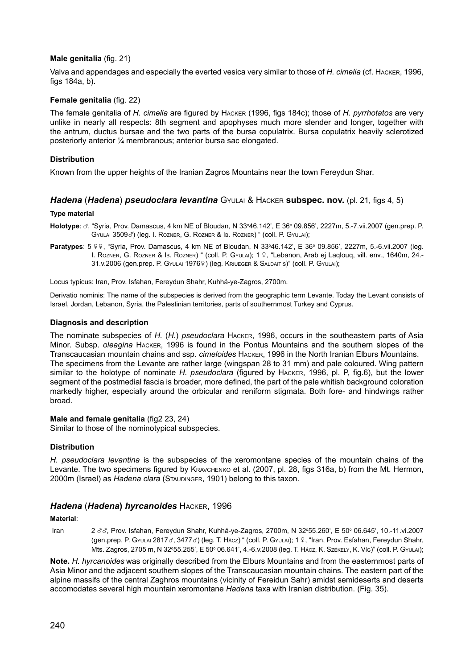## **Male genitalia** (fig. 21)

Valva and appendages and especially the everted vesica very similar to those of *H. cimelia* (cf. Hacker, 1996, figs 184a, b).

# **Female genitalia** (fig. 22)

The female genitalia of *H. cimelia* are figured by Hacker (1996, figs 184c); those of *H. pyrrhotatos* are very unlike in nearly all respects: 8th segment and apophyses much more slender and longer, together with the antrum, ductus bursae and the two parts of the bursa copulatrix. Bursa copulatrix heavily sclerotized posteriorly anterior ¼ membranous; anterior bursa sac elongated.

## **Distribution**

Known from the upper heights of the Iranian Zagros Mountains near the town Fereydun Shar.

## *Hadena* (*Hadena*) *pseudoclara levantina* Gyulai & Hacker **subspec. nov.** (pl. 21, figs 4, 5)

#### **Type material**

- **Holotype**: ♂, "Syria, Prov. Damascus, 4 km NE of Bloudan, N 33°46.142', E 36° 09.856', 2227m, 5.-7.vii.2007 (gen.prep. P. GYULAI 3509 $\sigma$ ) (leg. I. ROZNER, G. ROZNER & IB. ROZNER) " (COII. P. GYULAI);
- Paratypes: 5 º º, "Syria, Prov. Damascus, 4 km NE of Bloudan, N 33°46.142', E 36° 09.856', 2227m, 5.-6.vii.2007 (leg. I. Rozner, G. Rozner & Ib. Rozner) " (coll. P. Gyulai); 1 º, "Lebanon, Arab ej Laqlouq, vill. env., 1640m, 24.- $31.v.2006$  (gen.prep. P. GYULAI 1976 $\circ$ ) (leg. KRIUEGER & SALDAITIS)" (COII. P. GYULAI);

Locus typicus: Iran, Prov. Isfahan, Fereydun Shahr, Kuhhá-ye-Zagros, 2700m.

Derivatio nominis: The name of the subspecies is derived from the geographic term Levante. Today the Levant consists of Israel, Jordan, Lebanon, Syria, the Palestinian territories, parts of southernmost Turkey and Cyprus.

## **Diagnosis and description**

The nominate subspecies of *H.* (*H.*) *pseudoclara* Hacker, 1996, occurs in the southeastern parts of Asia Minor. Subsp. *oleagina* Hacker, 1996 is found in the Pontus Mountains and the southern slopes of the Transcaucasian mountain chains and ssp. *cimeloides* Hacker, 1996 in the North Iranian Elburs Mountains. The specimens from the Levante are rather large (wingspan 28 to 31 mm) and pale coloured. Wing pattern similar to the holotype of nominate *H. pseudoclara* (figured by Hacker, 1996, pl. P, fig.6), but the lower segment of the postmedial fascia is broader, more defined, the part of the pale whitish background coloration markedly higher, especially around the orbicular and reniform stigmata. Both fore- and hindwings rather broad.

#### **Male and female genitalia** (fig2 23, 24)

Similar to those of the nominotypical subspecies.

#### **Distribution**

*H. pseudoclara levantina* is the subspecies of the xeromontane species of the mountain chains of the Levante. The two specimens figured by KRAVCHENKO et al. (2007, pl. 28, figs 316a, b) from the Mt. Hermon, 2000m (Israel) as *Hadena clara* (STAUDINGER, 1901) belong to this taxon.

## *Hadena* (*Hadena***)** *hyrcanoides* Hacker, 1996

#### **Material**:

Iran 2 33, Prov. Isfahan, Fereydun Shahr, Kuhhá-ye-Zagros, 2700m, N 32°55.260', E 50° 06.645', 10.-11.vi.2007 (gen.prep. P. GyuLai 2817c, 3477c) (leg. T. Hácz) " (coll. P. GyuLai); 1 º, "Iran, Prov. Esfahan, Fereydun Shahr, Mts. Zagros, 2705 m, N 32°55.255', E 50° 06.641', 4.-6.v.2008 (leg. T. Hácz, K. Széκε∟ʏ, K. Víേ)" (coll. P. Gʏu∟ʌ);

**Note.** *H. hyrcanoides* was originally described from the Elburs Mountains and from the easternmost parts of Asia Minor and the adjacent southern slopes of the Transcaucasian mountain chains. The eastern part of the alpine massifs of the central Zaghros mountains (vicinity of Fereidun Sahr) amidst semideserts and deserts accomodates several high mountain xeromontane *Hadena* taxa with Iranian distribution. (Fig. 35).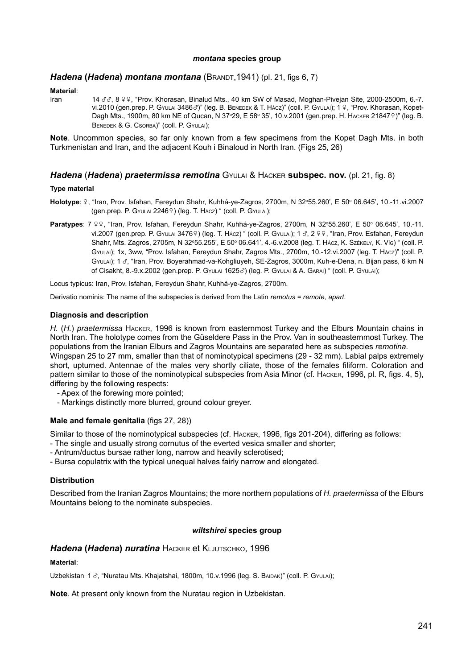#### *montana* **species group**

# *Hadena* **(***Hadena***)** *montana montana* (Brandt,1941) (pl. 21, figs 6, 7)

# **Material**:

14  $\sigma$  $\sigma$ , 8  $\circ$   $\circ$ , "Prov. Khorasan, Binalud Mts., 40 km SW of Masad, Moghan-Pivejan Site, 2000-2500m, 6.-7. vi.2010 (gen.prep. P. Gyulai 3486 $\sigma$ )" (leg. B. Benedek & T. Hácz)" (coll. P. Gyulai); 1 º, "Prov. Khorasan, Kopet-Dagh Mts., 1900m, 80 km NE of Qucan, N 37°29, E 58° 35', 10.v.2001 (gen.prep. Н. Наск $\epsilon$ R 218479)" (leg. В. Benedek & G. Csorba)" (coll. P. Gyulai);

**Note**. Uncommon species, so far only known from a few specimens from the Kopet Dagh Mts. in both Turkmenistan and Iran, and the adjacent Kouh i Binaloud in North Iran. (Figs 25, 26)

## *Hadena* (*Hadena*) *praetermissa remotina* Gyulai & Hacker **subspec. nov.** (pl. 21, fig. 8)

## **Type material**

- Holotype: 9, "Iran, Prov. Isfahan, Fereydun Shahr, Kuhhá-ye-Zagros, 2700m, N 32°55.260', E 50° 06.645', 10.-11.vi.2007 (gen.prep. P. Gyulai 22469) (leg. T. Hácz) " (coll. P. Gyulai);
- Paratypes: 7 º º, "Iran, Prov. Isfahan, Fereydun Shahr, Kuhhá-ye-Zagros, 2700m, N 32°55.260', E 50° 06.645', 10.-11. vi.2007 (gen.prep. P. Gyulai 3476º) (leg. T. Hácz) " (coll. P. Gyulai); 1 3, 2 º º, "Iran, Prov. Esfahan, Fereydun Shahr, Mts. Zagros, 2705m, N 32°55.255', E 50° 06.641', 4.-6.v.2008 (leg. T. Hácz, K. Széke∟y, K. Víg) " (coll. P. Gyulai); 1x, 3ww, "Prov. Isfahan, Fereydun Shahr, Zagros Mts., 2700m, 10.-12.vi.2007 (leg. T. Hácz)" (coll. P. GyuLai); 1 3, "Iran, Prov. Boyerahmad-va-Kohgliuyeh, SE-Zagros, 3000m, Kuh-e-Dena, n. Bijan pass, 6 km N of Cisakht, 8.-9.x.2002 (gen.prep. P. Gyulai 1625c) (leg. P. Gyulai & A. Garai) " (coll. P. Gyulai);

Locus typicus: Iran, Prov. Isfahan, Fereydun Shahr, Kuhhá-ye-Zagros, 2700m.

Derivatio nominis: The name of the subspecies is derived from the Latin *remotus = remote, apart*.

## **Diagnosis and description**

*H.* (*H.*) *praetermissa* Hacker, 1996 is known from easternmost Turkey and the Elburs Mountain chains in North Iran. The holotype comes from the Güseldere Pass in the Prov. Van in southeasternmost Turkey. The populations from the Iranian Elburs and Zagros Mountains are separated here as subspecies *remotina.* Wingspan 25 to 27 mm, smaller than that of nominotypical specimens (29 - 32 mm). Labial palps extremely short, upturned. Antennae of the males very shortly ciliate, those of the females filiform. Coloration and pattern similar to those of the nominotypical subspecies from Asia Minor (cf. Hacker, 1996, pl. R, figs. 4, 5), differing by the following respects:

- Apex of the forewing more pointed;
- Markings distinctly more blurred, ground colour greyer.

## **Male and female genitalia** (figs 27, 28))

Similar to those of the nominotypical subspecies (cf. Hacker, 1996, figs 201-204), differing as follows: - The single and usually strong cornutus of the everted vesica smaller and shorter;

- Antrum/ductus bursae rather long, narrow and heavily sclerotised;
- Bursa copulatrix with the typical unequal halves fairly narrow and elongated.

## **Distribution**

Described from the Iranian Zagros Mountains; the more northern populations of *H. praetermissa* of the Elburs Mountains belong to the nominate subspecies.

## *wiltshirei* **species group**

## *Hadena* **(***Hadena***)** *nuratina* Hacker et Kljutschko, 1996

### **Material**:

Uzbekistan 1 3, "Nuratau Mts. Khajatshai, 1800m, 10.v.1996 (leg. S. BAIDAK)" (coll. P. GyuLAI);

**Note**. At present only known from the Nuratau region in Uzbekistan.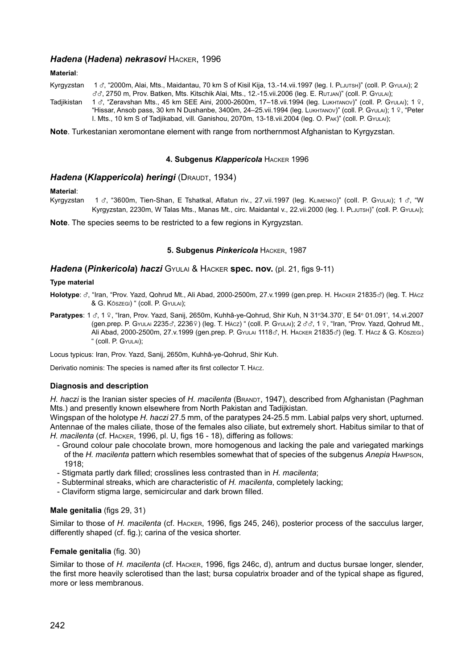# *Hadena* **(***Hadena***)** *nekrasovi* Hacker, 1996

**Material**:

- Kyrgyzstan 1 & "2000m, Alai, Mts., Maidantau, 70 km S of Kisil Kija, 13.-14.vii.1997 (leg. I. PLJUTSH)" (coll. P. GyuLAI); 2 xx, 2750 m, Prov. Batken, Mts. Kitschik Alai, Mts., 12.-15.vii.2006 (leg. E. Rutjan)" (coll. P. Gyulai);
- Tadjikistan 1  $\sigma$ , "Zeravshan Mts., 45 km SEE Aini, 2000-2600m, 17–18.vii.1994 (leg. Lukhtanov)" (coll. P. Gyulai); 1 º, "Hissar, Ansob pass, 30 km N Dushanbe, 3400m, 24–25.vii.1994 (leg. LUKHTANOV)" (coll. P. GYULAI); 1 9, "Peter I. Mts., 10 km S of Tadjikabad, vill. Ganishou, 2070m, 13-18.vii.2004 (leg. O. Pak)" (coll. P. Gyulai);

**Note**. Turkestanian xeromontane element with range from northernmost Afghanistan to Kyrgyzstan.

#### **4. Subgenus** *Klappericola* Hacker 1996

## *Hadena* **(***Klappericola***)** *heringi* (Draudt, 1934)

**Material**: 1  $\sigma$ , "3600m, Tien-Shan, E Tshatkal, Aflatun riv., 27.vii.1997 (leg. KLIMENKO)" (coll. P. Gyulai); 1  $\sigma$ , "W Kyrgyzstan, 2230m, W Talas Mts., Manas Mt., circ. Maidantal v., 22.vii.2000 (leg. I. PLJUTSH)" (coll. P. GyuLAI);

**Note**. The species seems to be restricted to a few regions in Kyrgyzstan.

#### **5. Subgenus** *Pinkericola* Hacker, 1987

#### *Hadena* **(***Pinkericola***)** *haczi* Gyulai & Hacker **spec. nov.** (pl. 21, figs 9-11)

#### **Type material**

**Holotype**: x, "Iran, "Prov. Yazd, Qohrud Mt., Ali Abad, 2000-2500m, 27.v.1999 (gen.prep. H. Hacker <sup>21835</sup>x) (leg. T. Hácz & G. Kőszegi) " (coll. P. Gyulai);

Paratypes: 1 3, 1 º, "Iran, Prov. Yazd, Sanij, 2650m, Kuhhâ-ye-Qohrud, Shir Kuh, N 31°34.370', E 54° 01.091', 14.vi.2007 (gen.prep. P. Gyulai 2235 $\sigma$ , 2236 $\circ$ ) (leg. T. Hácz) " (coll. P. Gyulai); 2  $\sigma\sigma$ , 1 º, "Iran, "Prov. Yazd, Qohrud Mt., Ali Abad, 2000-2500m, 27.v.1999 (gen.prep. P. Gyulai 1118d, H. Hacker 21835d) (leg. T. Hácz & G. Kőszegi) " (coll. P. Gyulai);

Locus typicus: Iran, Prov. Yazd, Sanij, 2650m, Kuhhâ-ye-Qohrud, Shir Kuh.

Derivatio nominis: The species is named after its first collector T. Hácz.

#### **Diagnosis and description**

*H. haczi* is the Iranian sister species of *H. macilenta* (BRANDT, 1947), described from Afghanistan (Paghman Mts.) and presently known elsewhere from North Pakistan and Tadijkistan.

Wingspan of the holotype *H. haczi* 27.5 mm, of the paratypes 24-25.5 mm. Labial palps very short, upturned. Antennae of the males ciliate, those of the females also ciliate, but extremely short. Habitus similar to that of *H. macilenta* (cf. Hacker, 1996, pl. U, figs 16 - 18), differing as follows:

- Ground colour pale chocolate brown, more homogenous and lacking the pale and variegated markings of the *H. macilenta* pattern which resembles somewhat that of species of the subgenus *Anepia* Hampson, 1918;
- Stigmata partly dark filled; crosslines less contrasted than in *H. macilenta*;
- Subterminal streaks, which are characteristic of *H. macilenta*, completely lacking;
- Claviform stigma large, semicircular and dark brown filled.

#### **Male genitalia** (figs 29, 31)

Similar to those of *H. macilenta* (cf. Hacker, 1996, figs 245, 246), posterior process of the sacculus larger, differently shaped (cf. fig.); carina of the vesica shorter.

#### **Female genitalia** (fig. 30)

Similar to those of *H. macilenta* (cf. Hacker, 1996, figs 246c, d), antrum and ductus bursae longer, slender, the first more heavily sclerotised than the last; bursa copulatrix broader and of the typical shape as figured, more or less membranous.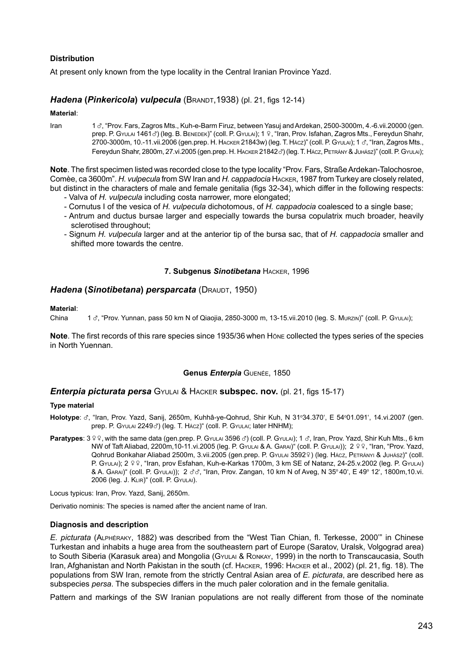# **Distribution**

At present only known from the type locality in the Central Iranian Province Yazd.

# *Hadena (Pinkericola) vulpecula* (BRANDT, 1938) (pl. 21, figs 12-14)

**Material**:

Iran 13, "Prov. Fars, Zagros Mts., Kuh-e-Barm Firuz, between Yasui and Ardekan, 2500-3000m, 4.-6.vii.20000 (gen. prep. P. Gyulai 1461 $\sigma$ ) (leg. B. Benedek)" (coll. P. Gyulai); 1 º, "Iran, Prov. Isfahan, Zagros Mts., Fereydun Shahr, 2700-3000m, 10.-11.vii.2006 (gen.prep. H. HACKER 21843w) (leg. T. HACz)" (coll. P. Gyulai); 1 o. "Iran, Zagros Mts., Fereydun Shahr, 2800m, 27.vi.2005 (gen.prep. H. HACKER 21842d) (leg. T. HÁCZ, PETRÁNY & JUHÁSZ)" (COll. P. GYULAI);

**Note**. The first specimen listed was recorded close to the type locality "Prov. Fars, Straße Ardekan-Talochosroe, Comèe, ca 3600m". *H. vulpecula* from SW Iran and *H. cappadocia* Hacker, 1987 from Turkey are closely related, but distinct in the characters of male and female genitalia (figs 32-34), which differ in the following respects:

- Valva of *H. vulpecula* including costa narrower, more elongated;
- Cornutus I of the vesica of *H. vulpecula* dichotomous, of *H. cappadocia* coalesced to a single base;
- Antrum and ductus bursae larger and especially towards the bursa copulatrix much broader, heavily sclerotised throughout;
- Signum *H. vulpecula* larger and at the anterior tip of the bursa sac, that of *H. cappadocia* smaller and shifted more towards the centre.

#### **7. Subgenus** *Sinotibetana* Hacker, 1996

## *Hadena* **(***Sinotibetana***)** *persparcata* (Draudt, 1950)

# **Material**:

1  $\sigma$ , "Prov. Yunnan, pass 50 km N of Qiaojia, 2850-3000 m, 13-15.vii.2010 (leg. S. Murzin)" (coll. P. GyuLai);

**Note**. The first records of this rare species since 1935/36 when Höne collected the types series of the species in North Yuennan.

# **Genus** *Enterpia* Guenée, 1850

#### *Enterpia picturata persa* Gyulai & Hacker **subspec. nov.** (pl. 21, figs 15-17)

#### **Type material**

- Holotype: ♂, "Iran, Prov. Yazd, Sanij, 2650m, Kuhhâ-ye-Qohrud, Shir Kuh, N 31°34.370', E 54°01.091', 14.vi.2007 (gen. prep. P. Gyulai 2249c) (leg. T. Hácz)" (coll. P. Gyulai; later HNHM);
- Paratypes:  $3 \frac{9}{5}$ , with the same data (gen.prep. P. GyuLai 3596 c<sup>3</sup>) (coll. P. GyuLai); 1 c<sup>3</sup>, Iran, Prov. Yazd, Shir Kuh Mts., 6 km NW of Taft Aliabad, 2200m,10-11.vi.2005 (leg. P. GyuLai & A. Garai)" (coll. P. GyuLai)); 2 9 9, "Iran, "Prov. Yazd, Qohrud Bonkahar Aliabad 2500m, 3. vii. 2005 (gen.prep. P. Gyulai 35929) (leg. Hácz, Petrányi & Juhász)" (coll. P. Gyulai); 2 º º, "Iran, prov Esfahan, Kuh-e-Karkas 1700m, 3 km SE of Natanz, 24-25.v.2002 (leg. P. Gyulai) & A. Garai)" (coll. P. Gyulai)); 2 xx, "Iran, Prov. Zangan, 10 km N of Aveg, N 35o 40', E 49o 12', 1800m,10.vi. 2006 (leg. J. Klir)" (coll. P. Gyulai).

Locus typicus: Iran, Prov. Yazd, Sanij, 2650m.

Derivatio nominis: The species is named after the ancient name of Iran.

### **Diagnosis and description**

*E. picturata* (Alphéraky, 1882) was described from the "West Tian Chian, fl. Terkesse, 2000'" in Chinese Turkestan and inhabits a huge area from the southeastern part of Europe (Saratov, Uralsk, Volgograd area) to South Siberia (Karasuk area) and Mongolia (Gyulai & Ronkay, 1999) in the north to Transcaucasia, South Iran, Afghanistan and North Pakistan in the south (cf. Hacker, 1996: Hacker et al., 2002) (pl. 21, fig. 18). The populations from SW Iran, remote from the strictly Central Asian area of *E. picturata*, are described here as subspecies *persa*. The subspecies differs in the much paler coloration and in the female genitalia.

Pattern and markings of the SW Iranian populations are not really different from those of the nominate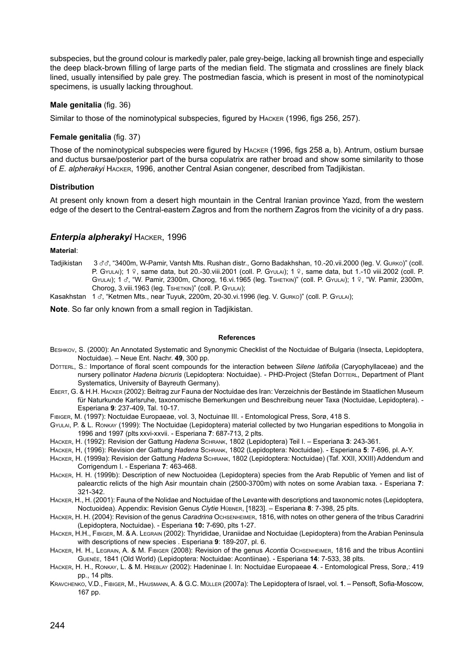subspecies, but the ground colour is markedly paler, pale grey-beige, lacking all brownish tinge and especially the deep black-brown filling of large parts of the median field. The stigmata and crosslines are finely black lined, usually intensified by pale grey. The postmedian fascia, which is present in most of the nominotypical specimens, is usually lacking throughout.

#### **Male genitalia** (fig. 36)

Similar to those of the nominotypical subspecies, figured by Hacker (1996, figs 256, 257).

## **Female genitalia** (fig. 37)

Those of the nominotypical subspecies were figured by Hacker (1996, figs 258 a, b). Antrum, ostium bursae and ductus bursae/posterior part of the bursa copulatrix are rather broad and show some similarity to those of *E. alpherakyi* Hacker, 1996, another Central Asian congener, described from Tadjikistan.

## **Distribution**

At present only known from a desert high mountain in the Central Iranian province Yazd, from the western edge of the desert to the Central-eastern Zagros and from the northern Zagros from the vicinity of a dry pass.

## *Enterpia alpherakyi* Hacker, 1996

### **Material**:

Tadjikistan 3 & &, "3400m, W-Pamir, Vantsh Mts. Rushan distr., Gorno Badakhshan, 10.-20.vii.2000 (leg. V. Gurko)" (coll. P. GyuLai); 1  $\frac{9}{7}$ , same data, but 20.-30.viii.2001 (coll. P. GyuLai); 1  $\frac{9}{7}$ , same data, but 1.-10 viii.2002 (coll. P. GYULAI); 1 3, "W. Pamir, 2300m, Chorog, 16.vi.1965 (leg. TSHETKIN)" (coll. P. GYULAI); 1 º, "W. Pamir, 2300m, Chorog, 3.viii.1963 (leg. Tshetkin)" (coll. P. Gyulai);

Kasakhstan 1 &, "Ketmen Mts., near Tuyuk, 2200m, 20-30.vi.1996 (leg. V. Gurko)" (coll. P. GyuLAI);

**Note**. So far only known from a small region in Tadjikistan.

#### **References**

- Beshkov, S. (2000): An Annotated Systematic and Synonymic Checklist of the Noctuidae of Bulgaria (Insecta, Lepidoptera, Noctuidae). – Neue Ent. Nachr. **49**, 300 pp.
- Dötterl, S.: Importance of floral scent compounds for the interaction between *Silene latifolia* (Caryophyllaceae) and the nursery pollinator *Hadena bicruris* (Lepidoptera: Noctuidae). - PHD-Project (Stefan Dörrerl, Department of Plant Systematics, University of Bayreuth Germany).
- Ebert, G. & H.H. Hacker (2002): Beitrag zur Fauna der Noctuidae des Iran: Verzeichnis der Bestände im Staatlichen Museum für Naturkunde Karlsruhe, taxonomische Bemerkungen und Beschreibung neuer Taxa (Noctuidae, Lepidoptera). - Esperiana **9**: 237-409, Tal. 10-17.
- Fibiger, M. (1997): Noctuidae Europaeae, vol. 3, Noctuinae III. Entomological Press, Sorø, 418 S.
- Gyulai, P. & L. Ronkay (1999): The Noctuidae (Lepidoptera) material collected by two Hungarian espeditions to Mongolia in 1996 and 1997 (plts xxvi-xxvii. - Esperiana **7**: 687-713, 2 plts.
- Hacker, H. (1992): Revision der Gattung *Hadena* Schrank, 1802 (Lepidoptera) Teil I. Esperiana **3**: 243-361.
- Hacker, H, (1996): Revision der Gattung *Hadena* Schrank, 1802 (Lepidoptera: Noctuidae). Esperiana **5**: 7-696, pl. A-Y.
- Hacker, H. (1999a): Revision der Gattung *Hadena* Schrank, 1802 (Lepidoptera: Noctuidae) (Taf. XXII, XXIII) Addendum and Corrigendum I. - Esperiana **7**: 463-468.
- Hacker, H. H. (1999b): Description of new Noctuoidea (Lepidoptera) species from the Arab Republic of Yemen and list of palearctic relicts of the high Asir mountain chain (2500-3700m) with notes on some Arabian taxa. - Esperiana **7**: 321-342.
- Hacker, H., H. (2001): Fauna of the Nolidae and Noctuidae of the Levante with descriptions and taxonomic notes (Lepidoptera, Noctuoidea). Appendix: Revision Genus *Clytie* Hübner, [1823]. – Esperiana **8**: 7-398, 25 plts.
- Hacker, H. H. (2004): Revision of the genus *Caradrina* Ochsenheimer, 1816, with notes on other genera of the tribus Caradrini (Lepidoptera, Noctuidae). - Esperiana **10:** 7-690, plts 1-27.
- Hacker, H.H., Fibiger, M. & A. Legrain (2002): Thyrididae, Uraniidae and Noctuidae (Lepidoptera) from the Arabian Peninsula with descriptions of new species . Esperiana **9**: 189-207, pl. 6.
- Hacker, H. H., Legrain, A. & M. Fibiger (2008): Revision of the genus *Acontia* Ochsenheimer, 1816 and the tribus Acontiini Guenée, 1841 (Old World) (Lepidoptera: Noctuidae: Acontiinae). - Esperiana **14**: 7-533, 38 plts.
- Hacker, H. H., Ronkay, L. & M. Hreblay (2002): Hadeninae I. In: Noctuidae Europaeae **4**. Entomological Press, Sorø,: 419 pp., 14 plts.
- Kravchenko, V.D., Fibiger, M., Hausmann, A. & G.C. Müller (2007a): The Lepidoptera of Israel, vol. **1**. Pensoft, Sofia-Moscow, 167 pp.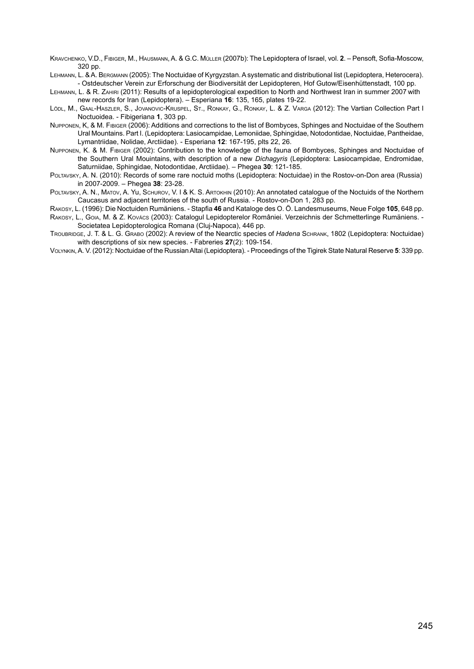Kravchenko, V.D., Fibiger, M., Hausmann, A. & G.C. Müller (2007b): The Lepidoptera of Israel, vol. **2**. – Pensoft, Sofia-Moscow,  $320$  pp.

Lehmann, L. & A. Bergmann (2005): The Noctuidae of Kyrgyzstan. A systematic and distributional list (Lepidoptera, Heterocera). - Ostdeutscher Verein zur Erforschung der Biodiversität der Lepidopteren, Hof Gutow/Eisenhüttenstadt, 100 pp.

Lehmann, L. & R. Zahiri (2011): Results of a lepidopterological expedition to North and Northwest Iran in summer 2007 with new records for Iran (Lepidoptera). – Esperiana **16**: 135, 165, plates 19-22.

- Lödl, M., Gaal-Haszler, S., Jovanovic-Kruspel, St., Ronkay, G., Ronkay, L. & Z. Varga (2012): The Vartian Collection Part I Noctuoidea. - Fibigeriana **1**, 303 pp.
- Nupponen, K, & M. Fibiger (2006): Additions and corrections to the list of Bombyces, Sphinges and Noctuidae of the Southern Ural Mountains. Part I. (Lepidoptera: Lasiocampidae, Lemoniidae, Sphingidae, Notodontidae, Noctuidae, Pantheidae, Lymantriidae, Nolidae, Arctiidae). - Esperiana **12**: 167-195, plts 22, 26.
- Nupponen, K. & M. Fibiger (2002): Contribution to the knowledge of the fauna of Bombyces, Sphinges and Noctuidae of the Southern Ural Mouintains, with description of a new *Dichagyris* (Lepidoptera: Lasiocampidae, Endromidae, Saturniidae, Sphingidae, Notodontidae, Arctiidae). – Phegea **30**: 121-185.
- Poltavsky, A. N. (2010): Records of some rare noctuid moths (Lepidoptera: Noctuidae) in the Rostov-on-Don area (Russia) in 2007-2009. – Phegea **38**: 23-28.
- Politavsky, A. N., Matov, A. Yu, Schurov, V. J & K. S. Artokhin (2010): An annotated catalogue of the Noctuids of the Northern Caucasus and adjacent territories of the south of Russia. - Rostov-on-Don 1, 283 pp.

Rakosy, L. (1996): Die Noctuiden Rumäniens. - Stapfia **46** and Kataloge des O. Ö. Landesmuseums, Neue Folge **105**, 648 pp.

Rakosy, L., Goia, M. & Z. Kovács (2003): Catalogul Lepidopterelor României. Verzeichnis der Schmetterlinge Rumäniens. - Societatea Lepidopterologica Romana (Cluj-Napoca), 446 pp.

- Troubridge, J. T. & L. G. Grabo (2002): A review of the Nearctic species of *Hadena* Schrank, 1802 (Lepidoptera: Noctuidae) with descriptions of six new species. - Fabreries **27**(2): 109-154.
- Volynkin, A. V. (2012): Noctuidae of the Russian Altai (Lepidoptera). Proceedings of the Tigirek State Natural Reserve **5**: 339 pp.